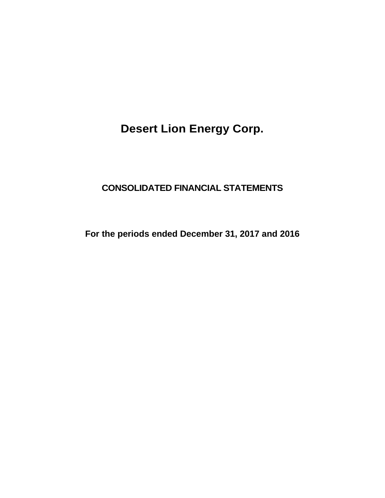## **CONSOLIDATED FINANCIAL STATEMENTS**

**For the periods ended December 31, 2017 and 2016**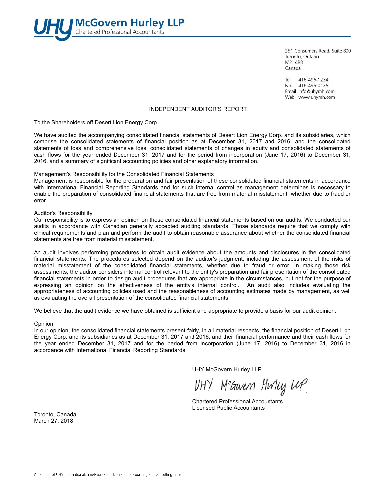

251 Consumers Road, Suite 800 Toronto, Ontario **M2J 4R3** Canada

Tel 416-496-1234 Fax 416-496-0125 Email info@uhymh.com Web www.uhymh.com

#### INDEPENDENT AUDITOR'S REPORT

To the Shareholders off Desert Lion Energy Corp.

We have audited the accompanying consolidated financial statements of Desert Lion Energy Corp. and its subsidiaries, which comprise the consolidated statements of financial position as at December 31, 2017 and 2016, and the consolidated statements of loss and comprehensive loss, consolidated statements of changes in equity and consolidated statements of cash flows for the year ended December 31, 2017 and for the period from incorporation (June 17, 2016) to December 31, 2016, and a summary of significant accounting policies and other explanatory information.

#### Management's Responsibility for the Consolidated Financial Statements

Management is responsible for the preparation and fair presentation of these consolidated financial statements in accordance with International Financial Reporting Standards and for such internal control as management determines is necessary to enable the preparation of consolidated financial statements that are free from material misstatement, whether due to fraud or error.

#### Auditor's Responsibility

Our responsibility is to express an opinion on these consolidated financial statements based on our audits. We conducted our audits in accordance with Canadian generally accepted auditing standards. Those standards require that we comply with ethical requirements and plan and perform the audit to obtain reasonable assurance about whether the consolidated financial statements are free from material misstatement.

An audit involves performing procedures to obtain audit evidence about the amounts and disclosures in the consolidated financial statements. The procedures selected depend on the auditor's judgment, including the assessment of the risks of material misstatement of the consolidated financial statements, whether due to fraud or error. In making those risk assessments, the auditor considers internal control relevant to the entity's preparation and fair presentation of the consolidated financial statements in order to design audit procedures that are appropriate in the circumstances, but not for the purpose of expressing an opinion on the effectiveness of the entity's internal control. An audit also includes evaluating the appropriateness of accounting policies used and the reasonableness of accounting estimates made by management, as well as evaluating the overall presentation of the consolidated financial statements.

We believe that the audit evidence we have obtained is sufficient and appropriate to provide a basis for our audit opinion.

#### Opinion

In our opinion, the consolidated financial statements present fairly, in all material respects, the financial position of Desert Lion Energy Corp. and its subsidiaries as at December 31, 2017 and 2016, and their financial performance and their cash flows for the year ended December 31, 2017 and for the period from incorporation (June 17, 2016) to December 31, 2016 in accordance with International Financial Reporting Standards.

UHY McGovern Hurley LLP

VHY Metavem Hwlug WP

 Chartered Professional Accountants Licensed Public Accountants

Toronto, Canada March 27, 2018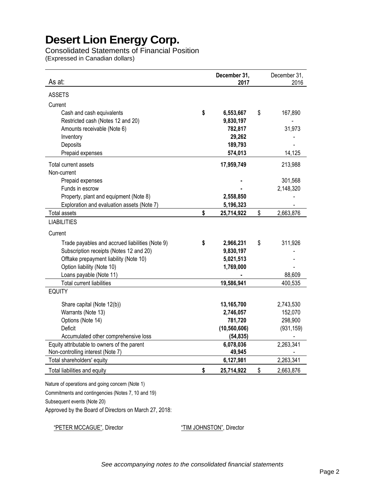Consolidated Statements of Financial Position (Expressed in Canadian dollars)

| As at:                                          | December 31,<br>2017 | December 31,<br>2016 |
|-------------------------------------------------|----------------------|----------------------|
| <b>ASSETS</b>                                   |                      |                      |
| Current                                         |                      |                      |
| Cash and cash equivalents                       | \$<br>6,553,667      | \$<br>167,890        |
| Restricted cash (Notes 12 and 20)               | 9,830,197            |                      |
| Amounts receivable (Note 6)                     | 782,817              | 31,973               |
| Inventory                                       | 29,262               |                      |
| Deposits                                        | 189,793              |                      |
| Prepaid expenses                                | 574,013              | 14,125               |
| Total current assets                            | 17,959,749           | 213,988              |
| Non-current                                     |                      |                      |
| Prepaid expenses                                |                      | 301,568              |
| Funds in escrow                                 |                      | 2,148,320            |
| Property, plant and equipment (Note 8)          | 2,558,850            |                      |
| Exploration and evaluation assets (Note 7)      | 5,196,323            |                      |
| <b>Total assets</b>                             | \$<br>25,714,922     | \$<br>2,663,876      |
| <b>LIABILITIES</b>                              |                      |                      |
| Current                                         |                      |                      |
| Trade payables and accrued liabilities (Note 9) | \$<br>2,966,231      | \$<br>311,926        |
| Subscription receipts (Notes 12 and 20)         | 9,830,197            |                      |
| Offtake prepayment liability (Note 10)          | 5,021,513            |                      |
| Option liability (Note 10)                      | 1,769,000            |                      |
| Loans payable (Note 11)                         |                      | 88,609               |
| <b>Total current liabilities</b>                | 19,586,941           | 400,535              |
| <b>EQUITY</b>                                   |                      |                      |
| Share capital (Note 12(b))                      | 13,165,700           | 2,743,530            |
| Warrants (Note 13)                              | 2,746,057            | 152,070              |
| Options (Note 14)                               | 781,720              | 298,900              |
| Deficit                                         | (10, 560, 606)       | (931, 159)           |
| Accumulated other comprehensive loss            | (54, 835)            |                      |
| Equity attributable to owners of the parent     | 6,078,036            | 2,263,341            |
| Non-controlling interest (Note 7)               | 49,945               |                      |
| Total shareholders' equity                      | 6,127,981            | 2,263,341            |
| Total liabilities and equity                    | \$<br>25,714,922     | \$<br>2,663,876      |

Nature of operations and going concern (Note 1)

Commitments and contingencies (Notes 7, 10 and 19)

Subsequent events (Note 20)

Approved by the Board of Directors on March 27, 2018:

"PETER MCCAGUE", Director "TIM JOHNSTON", Director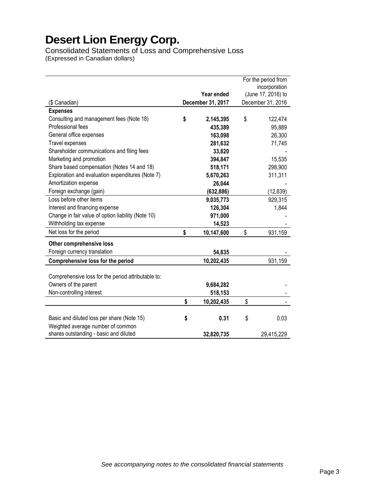Consolidated Statements of Loss and Comprehensive Loss (Expressed in Canadian dollars)

|                                                    | For the period from |                   |    |                    |
|----------------------------------------------------|---------------------|-------------------|----|--------------------|
|                                                    |                     |                   |    | incorporation      |
|                                                    |                     | Year ended        |    | (June 17, 2016) to |
| (\$ Canadian)                                      |                     | December 31, 2017 |    | December 31, 2016  |
| <b>Expenses</b>                                    |                     |                   |    |                    |
| Consulting and management fees (Note 18)           | \$                  | 2,145,395         | \$ | 122,474            |
| Professional fees                                  |                     | 435,389           |    | 95,889             |
| General office expenses                            |                     | 163,098           |    | 26,300             |
| Travel expenses                                    |                     | 281,632           |    | 71,745             |
| Shareholder communications and filing fees         |                     | 33,820            |    |                    |
| Marketing and promotion                            |                     | 394,847           |    | 15,535             |
| Share based compensation (Notes 14 and 18)         |                     | 518,171           |    | 298,900            |
| Exploration and evaluation expenditures (Note 7)   |                     | 5,670,263         |    | 311,311            |
| Amortization expense                               |                     | 26,044            |    |                    |
| Foreign exchange (gain)                            |                     | (632, 886)        |    | (12, 839)          |
| Loss before other items                            |                     | 9,035,773         |    | 929,315            |
| Interest and financing expense                     |                     | 126,304           |    | 1,844              |
| Change in fair value of option liability (Note 10) |                     | 971,000           |    |                    |
| Withholding tax expense                            |                     | 14,523            |    |                    |
| Net loss for the period                            | \$                  | 10,147,600        | \$ | 931,159            |
| Other comprehensive loss                           |                     |                   |    |                    |
| Foreign currency translation                       |                     | 54,835            |    |                    |
| Comprehensive loss for the period                  |                     | 10,202,435        |    | 931,159            |
|                                                    |                     |                   |    |                    |
| Comprehensive loss for the period attributable to: |                     |                   |    |                    |
| Owners of the parent                               |                     | 9,684,282         |    |                    |
| Non-controlling interest                           |                     | 518,153           |    |                    |
|                                                    | \$                  | 10,202,435        | \$ |                    |
| Basic and diluted loss per share (Note 15)         | \$                  | 0.31              | \$ | 0.03               |
| Weighted average number of common                  |                     |                   |    |                    |
| shares outstanding - basic and diluted             |                     | 32,820,735        |    | 29,415,229         |
|                                                    |                     |                   |    |                    |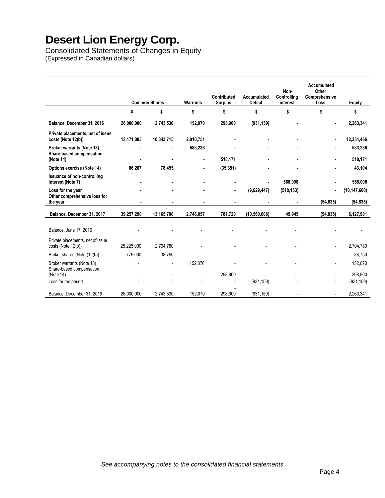Consolidated Statements of Changes in Equity (Expressed in Canadian dollars)

|                                                              |            | <b>Common Shares</b> | <b>Warrants</b> | Contributed<br><b>Surplus</b> | Accumulated<br><b>Deficit</b> | Non-<br>Controlling<br>interest | Accumulated<br>Other<br>Comprehensive<br>Loss | <b>Equity</b>  |
|--------------------------------------------------------------|------------|----------------------|-----------------|-------------------------------|-------------------------------|---------------------------------|-----------------------------------------------|----------------|
|                                                              | #          | \$                   | \$              | \$                            | \$                            | \$                              | \$                                            | \$             |
| Balance, December 31, 2016                                   | 26,000,000 | 2,743,530            | 152,070         | 298,900                       | (931, 159)                    |                                 |                                               | 2,263,341      |
| Private placements, net of issue<br>costs (Note 12(b))       | 13,171,083 | 10,343,715           | 2,010,751       |                               |                               |                                 |                                               | 12,354,466     |
| <b>Broker warrants (Note 13)</b><br>Share-based compensation |            |                      | 583,236         |                               |                               |                                 |                                               | 583,236        |
| (Note 14)                                                    |            |                      |                 | 518,171                       |                               |                                 |                                               | 518,171        |
| Options exercise (Note 14)                                   | 86,207     | 78,455               |                 | (35, 351)                     |                               |                                 |                                               | 43,104         |
| Issuance of non-controlling<br>interest (Note 7)             |            |                      |                 |                               |                               | 568,098                         |                                               | 568,098        |
| Loss for the year                                            |            |                      |                 | $\blacksquare$                | (9,629,447)                   | (518, 153)                      | $\blacksquare$                                | (10, 147, 600) |
| Other comprehensive loss for<br>the year                     |            |                      |                 |                               |                               |                                 | (54, 835)                                     | (54, 835)      |
| Balance, December 31, 2017                                   | 39,257,290 | 13,165,700           | 2,746,057       | 781.720                       | (10, 560, 606)                | 49.945                          | (54, 835)                                     | 6,127,981      |
|                                                              |            |                      |                 |                               |                               |                                 |                                               |                |
| Balance, June 17, 2016                                       |            |                      |                 |                               |                               |                                 |                                               |                |
| Private placements, net of issue                             |            |                      |                 |                               |                               |                                 |                                               |                |
| costs (Note 12(b))                                           | 25,225,000 | 2,704,780            |                 |                               |                               |                                 |                                               | 2,704,780      |
| Broker shares (Note (12(b))                                  | 775,000    | 38,750               |                 |                               |                               |                                 |                                               | 38,750         |
| Broker warrants (Note 13)                                    |            | $\overline{a}$       | 152,070         |                               |                               |                                 |                                               | 152,070        |
| Share-based compensation<br>(Note 14)                        |            |                      |                 | 298,900                       |                               |                                 |                                               | 298,900        |
| Loss for the period                                          |            |                      |                 |                               | (931, 159)                    |                                 |                                               | (931, 159)     |
| Balance, December 31, 2016                                   | 26,000,000 | 2,743,530            | 152,070         | 298,900                       | (931, 159)                    |                                 |                                               | 2,263,341      |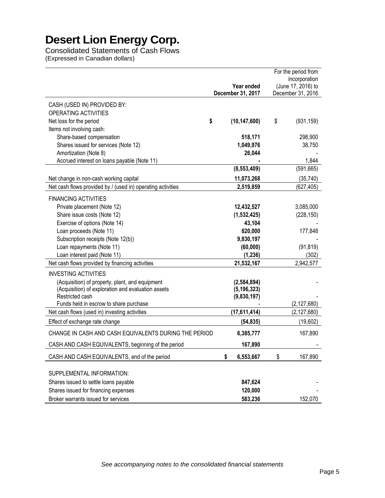Consolidated Statements of Cash Flows

(Expressed in Canadian dollars)

|                                                             |                                 |                                         | For the period from |
|-------------------------------------------------------------|---------------------------------|-----------------------------------------|---------------------|
|                                                             |                                 |                                         | incorporation       |
|                                                             | Year ended<br>December 31, 2017 | (June 17, 2016) to<br>December 31, 2016 |                     |
|                                                             |                                 |                                         |                     |
| CASH (USED IN) PROVIDED BY:                                 |                                 |                                         |                     |
| OPERATING ACTIVITIES                                        |                                 |                                         |                     |
| \$<br>Net loss for the period                               | (10, 147, 600)                  | \$                                      | (931, 159)          |
| Items not involving cash:                                   |                                 |                                         |                     |
| Share-based compensation                                    | 518,171                         |                                         | 298,900             |
| Shares issued for services (Note 12)                        | 1,049,976                       |                                         | 38,750              |
| Amortization (Note 8)                                       | 26,044                          |                                         |                     |
| Accrued interest on loans payable (Note 11)                 |                                 |                                         | 1,844               |
|                                                             | (8, 553, 409)                   |                                         | (591, 665)          |
| Net change in non-cash working capital                      | 11,073,268                      |                                         | (35, 740)           |
| Net cash flows provided by / (used in) operating activities | 2,519,859                       |                                         | (627, 405)          |
| <b>FINANCING ACTIVITIES</b>                                 |                                 |                                         |                     |
| Private placement (Note 12)                                 | 12,432,527                      |                                         | 3,085,000           |
| Share issue costs (Note 12)                                 | (1,532,425)                     |                                         | (228, 150)          |
| Exercise of options (Note 14)                               | 43,104                          |                                         |                     |
| Loan proceeds (Note 11)                                     | 820,000                         |                                         | 177,848             |
| Subscription receipts (Note 12(b))                          | 9,830,197                       |                                         |                     |
| Loan repayments (Note 11)                                   | (60,000)                        |                                         | (91, 819)           |
| Loan interest paid (Note 11)                                | (1, 236)                        |                                         | (302)               |
| Net cash flows provided by financing activities             | 21,532,167                      |                                         | 2,942,577           |
| <b>INVESTING ACTIVITIES</b>                                 |                                 |                                         |                     |
| (Acquisition) of property, plant, and equipment             | (2,584,894)                     |                                         |                     |
| (Acquisition) of exploration and evaluation assets          | (5, 196, 323)                   |                                         |                     |
| Restricted cash                                             | (9,830,197)                     |                                         |                     |
| Funds held in escrow to share purchase                      |                                 |                                         | (2, 127, 680)       |
| Net cash flows (used in) investing activities               | (17, 611, 414)                  |                                         | (2, 127, 680)       |
| Effect of exchange rate change                              | (54, 835)                       |                                         | (19,602)            |
| CHANGE IN CASH AND CASH EQUIVALENTS DURING THE PERIOD       | 6,385,777                       |                                         | 167,890             |
| CASH AND CASH EQUIVALENTS, beginning of the period          | 167,890                         |                                         |                     |
| CASH AND CASH EQUIVALENTS, end of the period                | \$<br>6,553,667                 | \$                                      | 167,890             |
|                                                             |                                 |                                         |                     |
| SUPPLEMENTAL INFORMATION:                                   |                                 |                                         |                     |
| Shares issued to settle loans payable                       | 847,624                         |                                         |                     |
| Shares issued for financing expenses                        | 120,000                         |                                         |                     |
| Broker warrants issued for services                         | 583,236                         |                                         | 152,070             |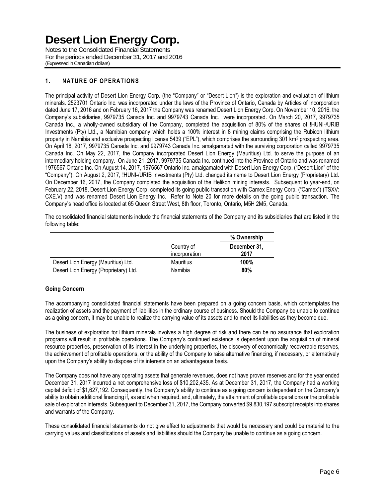Notes to the Consolidated Financial Statements For the periods ended December 31, 2017 and 2016 (Expressed in Canadian dollars)

## **1. NATURE OF OPERATIONS**

The principal activity of Desert Lion Energy Corp. (the "Company" or "Desert Lion") is the exploration and evaluation of lithium minerals. 2523701 Ontario Inc. was incorporated under the laws of the Province of Ontario, Canada by Articles of Incorporation dated June 17, 2016 and on February 16, 2017 the Company was renamed Desert Lion Energy Corp. On November 10, 2016, the Company's subsidiaries, 9979735 Canada Inc. and 9979743 Canada Inc. were incorporated. On March 20, 2017, 9979735 Canada Inc., a wholly-owned subsidiary of the Company, completed the acquisition of 80% of the shares of !HUNI-/URIB Investments (Pty) Ltd., a Namibian company which holds a 100% interest in 8 mining claims comprising the Rubicon lithium property in Namibia and exclusive prospecting license 5439 ("EPL"), which comprises the surrounding 301 km<sup>2</sup> prospecting area. On April 18, 2017, 9979735 Canada Inc. and 9979743 Canada Inc. amalgamated with the surviving corporation called 9979735 Canada Inc. On May 22, 2017, the Company incorporated Desert Lion Energy (Mauritius) Ltd. to serve the purpose of an intermediary holding company. On June 21, 2017, 9979735 Canada Inc. continued into the Province of Ontario and was renamed 1976567 Ontario Inc. On August 14, 2017, 1976567 Ontario Inc. amalgamated with Desert Lion Energy Corp. ("Desert Lion" of the "Company"). On August 2, 2017, !HUNI-/URIB Investments (Pty) Ltd. changed its name to Desert Lion Energy (Proprietary) Ltd. On December 16, 2017, the Company completed the acquisition of the Helikon mining interests. Subsequent to year-end, on February 22, 2018, Desert Lion Energy Corp. completed its going public transaction with Camex Energy Corp. ("Camex") (TSXV: CXE.V) and was renamed Desert Lion Energy Inc. Refer to Note 20 for more details on the going public transaction. The Company's head office is located at 65 Queen Street West, 8th floor, Toronto, Ontario, M5H 2M5, Canada.

The consolidated financial statements include the financial statements of the Company and its subsidiaries that are listed in the following table:

|                                       |                             | % Ownership          |
|---------------------------------------|-----------------------------|----------------------|
|                                       | Country of<br>incorporation | December 31.<br>2017 |
| Desert Lion Energy (Mauritius) Ltd.   | Mauritius                   | 100%                 |
| Desert Lion Energy (Proprietary) Ltd. | Namibia                     | 80%                  |

### **Going Concern**

The accompanying consolidated financial statements have been prepared on a going concern basis, which contemplates the realization of assets and the payment of liabilities in the ordinary course of business. Should the Company be unable to continue as a going concern, it may be unable to realize the carrying value of its assets and to meet its liabilities as they become due.

The business of exploration for lithium minerals involves a high degree of risk and there can be no assurance that exploration programs will result in profitable operations. The Company's continued existence is dependent upon the acquisition of mineral resource properties, preservation of its interest in the underlying properties, the discovery of economically recoverable reserves, the achievement of profitable operations, or the ability of the Company to raise alternative financing, if necessary, or alternatively upon the Company's ability to dispose of its interests on an advantageous basis.

The Company does not have any operating assets that generate revenues, does not have proven reserves and for the year ended December 31, 2017 incurred a net comprehensive loss of \$10,202,435. As at December 31, 2017, the Company had a working capital deficit of \$1,627,192. Consequently, the Company's ability to continue as a going concern is dependent on the Company's ability to obtain additional financing if, as and when required, and, ultimately, the attainment of profitable operations or the profitable sale of exploration interests. Subsequent to December 31, 2017, the Company converted \$9,830,197 subscript receipts into shares and warrants of the Company.

These consolidated financial statements do not give effect to adjustments that would be necessary and could be material to the carrying values and classifications of assets and liabilities should the Company be unable to continue as a going concern.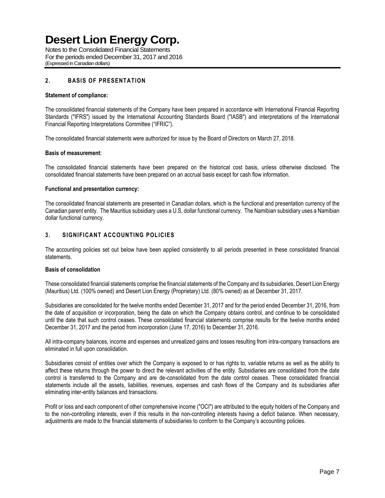Notes to the Consolidated Financial Statements For the periods ended December 31, 2017 and 2016 (Expressed in Canadian dollars)

### **2. BASIS OF PRESENTATION**

### **Statement of compliance:**

The consolidated financial statements of the Company have been prepared in accordance with International Financial Reporting Standards ("IFRS") issued by the International Accounting Standards Board ("IASB") and interpretations of the International Financial Reporting Interpretations Committee ("IFRIC").

The consolidated financial statements were authorized for issue by the Board of Directors on March 27, 2018.

#### **Basis of measurement**:

The consolidated financial statements have been prepared on the historical cost basis, unless otherwise disclosed. The consolidated financial statements have been prepared on an accrual basis except for cash flow information.

#### **Functional and presentation currency:**

The consolidated financial statements are presented in Canadian dollars, which is the functional and presentation currency of the Canadian parent entity. The Mauritius subsidiary uses a U.S. dollar functional currency. The Namibian subsidiary uses a Namibian dollar functional currency.

### **3. SIGNIFICANT ACCOUNTING POLICIES**

The accounting policies set out below have been applied consistently to all periods presented in these consolidated financial statements.

### **Basis of consolidation**

These consolidated financial statements comprise the financial statements of the Company and its subsidiaries, Desert Lion Energy (Mauritius) Ltd. (100% owned) and Desert Lion Energy (Proprietary) Ltd. (80% owned) as at December 31, 2017.

Subsidiaries are consolidated for the twelve months ended December 31, 2017 and for the period ended December 31, 2016, from the date of acquisition or incorporation, being the date on which the Company obtains control, and continue to be consolidated until the date that such control ceases. These consolidated financial statements comprise results for the twelve months ended December 31, 2017 and the period from incorporation (June 17, 2016) to December 31, 2016.

All intra-company balances, income and expenses and unrealized gains and losses resulting from intra-company transactions are eliminated in full upon consolidation.

Subsidiaries consist of entities over which the Company is exposed to or has rights to, variable returns as well as the ability to affect these returns through the power to direct the relevant activities of the entity. Subsidiaries are consolidated from the date control is transferred to the Company and are de-consolidated from the date control ceases. These consolidated financial statements include all the assets, liabilities, revenues, expenses and cash flows of the Company and its subsidiaries after eliminating inter-entity balances and transactions.

Profit or loss and each component of other comprehensive income ("OCI") are attributed to the equity holders of the Company and to the non-controlling interests, even if this results in the non-controlling interests having a deficit balance. When necessary, adjustments are made to the financial statements of subsidiaries to conform to the Company's accounting policies.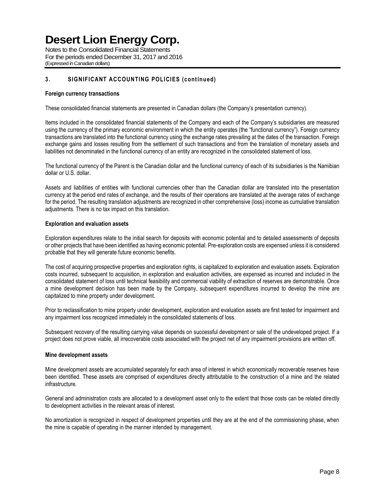Notes to the Consolidated Financial Statements For the periods ended December 31, 2017 and 2016 (Expressed in Canadian dollars)

## **3. SIGNIFICANT ACCOUNTING POLICIES (continued)**

#### **Foreign currency transactions**

These consolidated financial statements are presented in Canadian dollars (the Company's presentation currency).

Items included in the consolidated financial statements of the Company and each of the Company's subsidiaries are measured using the currency of the primary economic environment in which the entity operates (the "functional currency"). Foreign currency transactions are translated into the functional currency using the exchange rates prevailing at the dates of the transaction. Foreign exchange gains and losses resulting from the settlement of such transactions and from the translation of monetary assets and liabilities not denominated in the functional currency of an entity are recognized in the consolidated statement of loss.

The functional currency of the Parent is the Canadian dollar and the functional currency of each of its subsidiaries is the Namibian dollar or U.S. dollar.

Assets and liabilities of entities with functional currencies other than the Canadian dollar are translated into the presentation currency at the period end rates of exchange, and the results of their operations are translated at the average rates of exchange for the period. The resulting translation adjustments are recognized in other comprehensive (loss) income as cumulative translation adjustments. There is no tax impact on this translation.

### **Exploration and evaluation assets**

Exploration expenditures relate to the initial search for deposits with economic potential and to detailed assessments of deposits or other projects that have been identified as having economic potential. Pre-exploration costs are expensed unless it is considered probable that they will generate future economic benefits.

The cost of acquiring prospective properties and exploration rights, is capitalized to exploration and evaluation assets. Exploration costs incurred, subsequent to acquisition, in exploration and evaluation activities, are expensed as incurred and included in the consolidated statement of loss until technical feasibility and commercial viability of extraction of reserves are demonstrable. Once a mine development decision has been made by the Company, subsequent expenditures incurred to develop the mine are capitalized to mine property under development.

Prior to reclassification to mine property under development, exploration and evaluation assets are first tested for impairment and any impairment loss recognized immediately in the consolidated statements of loss.

Subsequent recovery of the resulting carrying value depends on successful development or sale of the undeveloped project. If a project does not prove viable, all irrecoverable costs associated with the project net of any impairment provisions are written off.

#### **Mine development assets**

Mine development assets are accumulated separately for each area of interest in which economically recoverable reserves have been identified. These assets are comprised of expenditures directly attributable to the construction of a mine and the related infrastructure.

General and administration costs are allocated to a development asset only to the extent that those costs can be related directly to development activities in the relevant areas of interest.

No amortization is recognized in respect of development properties until they are at the end of the commissioning phase, when the mine is capable of operating in the manner intended by management.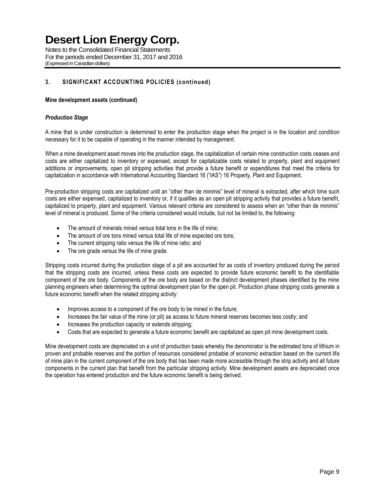Notes to the Consolidated Financial Statements For the periods ended December 31, 2017 and 2016 (Expressed in Canadian dollars)

## **3. SIGNIFICANT ACCOUNTING POLICIES (continued)**

### **Mine development assets (continued)**

### *Production Stage*

A mine that is under construction is determined to enter the production stage when the project is in the location and condition necessary for it to be capable of operating in the manner intended by management.

When a mine development asset moves into the production stage, the capitalization of certain mine construction costs ceases and costs are either capitalized to inventory or expensed, except for capitalizable costs related to property, plant and equipment additions or improvements, open pit stripping activities that provide a future benefit or expenditures that meet the criteria for capitalization in accordance with International Accounting Standard 16 ("IAS") 16 Property, Plant and Equipment.

Pre-production stripping costs are capitalized until an "other than de minimis" level of mineral is extracted, after which time such costs are either expensed, capitalized to inventory or, if it qualifies as an open pit stripping activity that provides a future benefit, capitalized to property, plant and equipment. Various relevant criteria are considered to assess when an "other than de minimis" level of mineral is produced. Some of the criteria considered would include, but not be limited to, the following:

- The amount of minerals mined versus total tons in the life of mine;
- The amount of ore tons mined versus total life of mine expected ore tons;
- The current stripping ratio versus the life of mine ratio; and
- The ore grade versus the life of mine grade.

Stripping costs incurred during the production stage of a pit are accounted for as costs of inventory produced during the period that the stripping costs are incurred, unless these costs are expected to provide future economic benefit to the identifiable component of the ore body. Components of the ore body are based on the distinct development phases identified by the mine planning engineers when determining the optimal development plan for the open pit. Production phase stripping costs generate a future economic benefit when the related stripping activity:

- Improves access to a component of the ore body to be mined in the future;
- Increases the fair value of the mine (or pit) as access to future mineral reserves becomes less costly; and
- Increases the production capacity or extends stripping;
- Costs that are expected to generate a future economic benefit are capitalized as open pit mine development costs.

Mine development costs are depreciated on a unit of production basis whereby the denominator is the estimated tons of lithium in proven and probable reserves and the portion of resources considered probable of economic extraction based on the current life of mine plan in the current component of the ore body that has been made more accessible through the strip activity and all future components in the current plan that benefit from the particular stripping activity. Mine development assets are depreciated once the operation has entered production and the future economic benefit is being derived.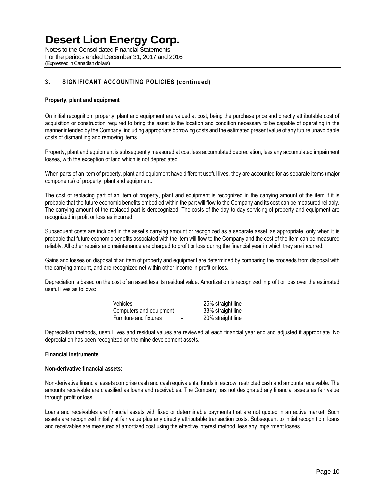Notes to the Consolidated Financial Statements For the periods ended December 31, 2017 and 2016 (Expressed in Canadian dollars)

### **3. SIGNIFICANT ACCOUNTING POLICIES (continued)**

### **Property, plant and equipment**

On initial recognition, property, plant and equipment are valued at cost, being the purchase price and directly attributable cost of acquisition or construction required to bring the asset to the location and condition necessary to be capable of operating in the manner intended by the Company, including appropriate borrowing costs and the estimated present value of any future unavoidable costs of dismantling and removing items.

Property, plant and equipment is subsequently measured at cost less accumulated depreciation, less any accumulated impairment losses, with the exception of land which is not depreciated.

When parts of an item of property, plant and equipment have different useful lives, they are accounted for as separate items (major components) of property, plant and equipment.

The cost of replacing part of an item of property, plant and equipment is recognized in the carrying amount of the item if it is probable that the future economic benefits embodied within the part will flow to the Company and its cost can be measured reliably. The carrying amount of the replaced part is derecognized. The costs of the day-to-day servicing of property and equipment are recognized in profit or loss as incurred.

Subsequent costs are included in the asset's carrying amount or recognized as a separate asset, as appropriate, only when it is probable that future economic benefits associated with the item will flow to the Company and the cost of the item can be measured reliably. All other repairs and maintenance are charged to profit or loss during the financial year in which they are incurred.

Gains and losses on disposal of an item of property and equipment are determined by comparing the proceeds from disposal with the carrying amount, and are recognized net within other income in profit or loss.

Depreciation is based on the cost of an asset less its residual value. Amortization is recognized in profit or loss over the estimated useful lives as follows:

| Vehicles                | -                        | 25% straight line |
|-------------------------|--------------------------|-------------------|
| Computers and equipment | $\sim$                   | 33% straight line |
| Furniture and fixtures  | $\overline{\phantom{0}}$ | 20% straight line |

Depreciation methods, useful lives and residual values are reviewed at each financial year end and adjusted if appropriate. No depreciation has been recognized on the mine development assets.

#### **Financial instruments**

#### **Non-derivative financial assets:**

Non-derivative financial assets comprise cash and cash equivalents, funds in escrow, restricted cash and amounts receivable. The amounts receivable are classified as loans and receivables. The Company has not designated any financial assets as fair value through profit or loss.

Loans and receivables are financial assets with fixed or determinable payments that are not quoted in an active market. Such assets are recognized initially at fair value plus any directly attributable transaction costs. Subsequent to initial recognition, loans and receivables are measured at amortized cost using the effective interest method, less any impairment losses.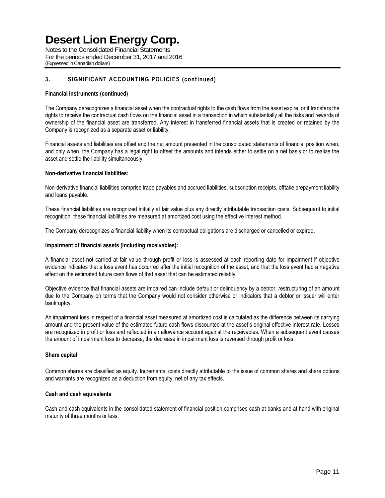Notes to the Consolidated Financial Statements For the periods ended December 31, 2017 and 2016 (Expressed in Canadian dollars)

## **3. SIGNIFICANT ACCOUNTING POLICIES (continued)**

### **Financial instruments (continued)**

The Company derecognizes a financial asset when the contractual rights to the cash flows from the asset expire, or it transfers the rights to receive the contractual cash flows on the financial asset in a transaction in which substantially all the risks and rewards of ownership of the financial asset are transferred. Any interest in transferred financial assets that is created or retained by the Company is recognized as a separate asset or liability.

Financial assets and liabilities are offset and the net amount presented in the consolidated statements of financial position when, and only when, the Company has a legal right to offset the amounts and intends either to settle on a net basis or to realize the asset and settle the liability simultaneously.

### **Non-derivative financial liabilities:**

Non-derivative financial liabilities comprise trade payables and accrued liabilities, subscription receipts, offtake prepayment liability and loans payable.

These financial liabilities are recognized initially at fair value plus any directly attributable transaction costs. Subsequent to initial recognition, these financial liabilities are measured at amortized cost using the effective interest method.

The Company derecognizes a financial liability when its contractual obligations are discharged or cancelled or expired.

### **Impairment of financial assets (including receivables):**

A financial asset not carried at fair value through profit or loss is assessed at each reporting date for impairment if objective evidence indicates that a loss event has occurred after the initial recognition of the asset, and that the loss event had a negative effect on the estimated future cash flows of that asset that can be estimated reliably.

Objective evidence that financial assets are impaired can include default or delinquency by a debtor, restructuring of an amount due to the Company on terms that the Company would not consider otherwise or indicators that a debtor or issuer will enter bankruptcy.

An impairment loss in respect of a financial asset measured at amortized cost is calculated as the difference between its carrying amount and the present value of the estimated future cash flows discounted at the asset's original effective interest rate. Losses are recognized in profit or loss and reflected in an allowance account against the receivables. When a subsequent event causes the amount of impairment loss to decrease, the decrease in impairment loss is reversed through profit or loss.

### **Share capital**

Common shares are classified as equity. Incremental costs directly attributable to the issue of common shares and share options and warrants are recognized as a deduction from equity, net of any tax effects.

### **Cash and cash equivalents**

Cash and cash equivalents in the consolidated statement of financial position comprises cash at banks and at hand with original maturity of three months or less.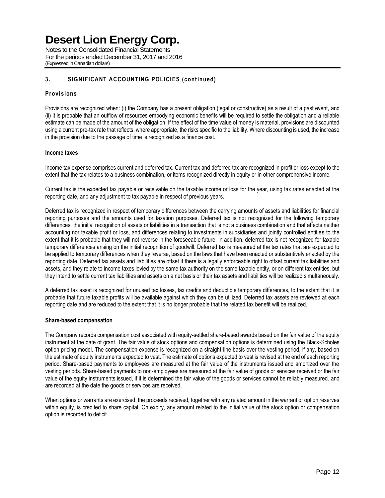Notes to the Consolidated Financial Statements For the periods ended December 31, 2017 and 2016 (Expressed in Canadian dollars)

## **3. SIGNIFICANT ACCOUNTING POLICIES (continued)**

### **Provisions**

Provisions are recognized when: (i) the Company has a present obligation (legal or constructive) as a result of a past event, and (ii) it is probable that an outflow of resources embodying economic benefits will be required to settle the obligation and a reliable estimate can be made of the amount of the obligation. If the effect of the time value of money is material, provisions are discounted using a current pre-tax rate that reflects, where appropriate, the risks specific to the liability. Where discounting is used, the increase in the provision due to the passage of time is recognized as a finance cost.

### **Income taxes**

Income tax expense comprises current and deferred tax. Current tax and deferred tax are recognized in profit or loss except to the extent that the tax relates to a business combination, or items recognized directly in equity or in other comprehensive income.

Current tax is the expected tax payable or receivable on the taxable income or loss for the year, using tax rates enacted at the reporting date, and any adjustment to tax payable in respect of previous years.

Deferred tax is recognized in respect of temporary differences between the carrying amounts of assets and liabilities for financial reporting purposes and the amounts used for taxation purposes. Deferred tax is not recognized for the following temporary differences: the initial recognition of assets or liabilities in a transaction that is not a business combination and that affects neither accounting nor taxable profit or loss, and differences relating to investments in subsidiaries and jointly controlled entities to the extent that it is probable that they will not reverse in the foreseeable future. In addition, deferred tax is not recognized for taxable temporary differences arising on the initial recognition of goodwill. Deferred tax is measured at the tax rates that are expected to be applied to temporary differences when they reverse, based on the laws that have been enacted or substantively enacted by the reporting date. Deferred tax assets and liabilities are offset if there is a legally enforceable right to offset current tax liabilities and assets, and they relate to income taxes levied by the same tax authority on the same taxable entity, or on different tax entities, but they intend to settle current tax liabilities and assets on a net basis or their tax assets and liabilities will be realized simultaneously.

A deferred tax asset is recognized for unused tax losses, tax credits and deductible temporary differences, to the extent that it is probable that future taxable profits will be available against which they can be utilized. Deferred tax assets are reviewed at each reporting date and are reduced to the extent that it is no longer probable that the related tax benefit will be realized.

### **Share-based compensation**

The Company records compensation cost associated with equity-settled share-based awards based on the fair value of the equity instrument at the date of grant. The fair value of stock options and compensation options is determined using the Black-Scholes option pricing model. The compensation expense is recognized on a straight-line basis over the vesting period, if any, based on the estimate of equity instruments expected to vest. The estimate of options expected to vest is revised at the end of each reporting period. Share-based payments to employees are measured at the fair value of the instruments issued and amortized over the vesting periods. Share-based payments to non-employees are measured at the fair value of goods or services received or the fair value of the equity instruments issued, if it is determined the fair value of the goods or services cannot be reliably measured, and are recorded at the date the goods or services are received.

When options or warrants are exercised, the proceeds received, together with any related amount in the warrant or option reserves within equity, is credited to share capital. On expiry, any amount related to the initial value of the stock option or compensation option is recorded to deficit.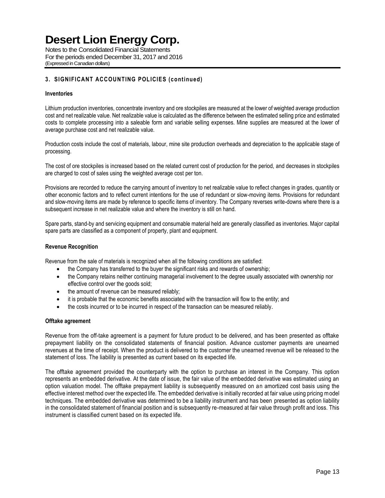Notes to the Consolidated Financial Statements For the periods ended December 31, 2017 and 2016 (Expressed in Canadian dollars)

## **3. SIGNIFICANT ACCOUNTING POLICIES (continued)**

### **Inventories**

Lithium production inventories, concentrate inventory and ore stockpiles are measured at the lower of weighted average production cost and net realizable value. Net realizable value is calculated as the difference between the estimated selling price and estimated costs to complete processing into a saleable form and variable selling expenses. Mine supplies are measured at the lower of average purchase cost and net realizable value.

Production costs include the cost of materials, labour, mine site production overheads and depreciation to the applicable stage of processing.

The cost of ore stockpiles is increased based on the related current cost of production for the period, and decreases in stockpiles are charged to cost of sales using the weighted average cost per ton.

Provisions are recorded to reduce the carrying amount of inventory to net realizable value to reflect changes in grades, quantity or other economic factors and to reflect current intentions for the use of redundant or slow-moving items. Provisions for redundant and slow-moving items are made by reference to specific items of inventory. The Company reverses write-downs where there is a subsequent increase in net realizable value and where the inventory is still on hand.

Spare parts, stand-by and servicing equipment and consumable material held are generally classified as inventories. Major capital spare parts are classified as a component of property, plant and equipment.

### **Revenue Recognition**

Revenue from the sale of materials is recognized when all the following conditions are satisfied:

- the Company has transferred to the buyer the significant risks and rewards of ownership;
- the Company retains neither continuing managerial involvement to the degree usually associated with ownership nor effective control over the goods sold;
- the amount of revenue can be measured reliably;
- it is probable that the economic benefits associated with the transaction will flow to the entity; and
- the costs incurred or to be incurred in respect of the transaction can be measured reliably.

### **Offtake agreement**

Revenue from the off-take agreement is a payment for future product to be delivered, and has been presented as offtake prepayment liability on the consolidated statements of financial position. Advance customer payments are unearned revenues at the time of receipt. When the product is delivered to the customer the unearned revenue will be released to the statement of loss. The liability is presented as current based on its expected life.

The offtake agreement provided the counterparty with the option to purchase an interest in the Company. This option represents an embedded derivative. At the date of issue, the fair value of the embedded derivative was estimated using an option valuation model. The offtake prepayment liability is subsequently measured on an amortized cost basis using the effective interest method over the expected life. The embedded derivative is initially recorded at fair value using pricing model techniques. The embedded derivative was determined to be a liability instrument and has been presented as option liability in the consolidated statement of financial position and is subsequently re-measured at fair value through profit and loss. This instrument is classified current based on its expected life.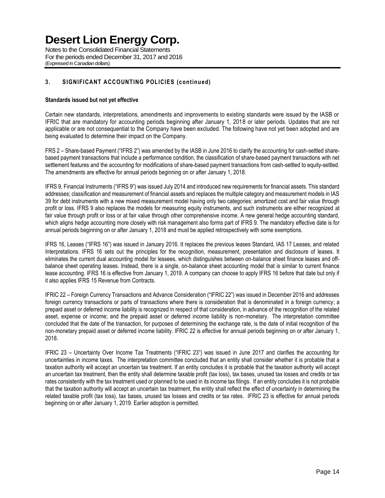Notes to the Consolidated Financial Statements For the periods ended December 31, 2017 and 2016 (Expressed in Canadian dollars)

## **3. SIGNIFICANT ACCOUNTING POLICIES (continued)**

### **Standards issued but not yet effective**

Certain new standards, interpretations, amendments and improvements to existing standards were issued by the IASB or IFRIC that are mandatory for accounting periods beginning after January 1, 2018 or later periods. Updates that are not applicable or are not consequential to the Company have been excluded. The following have not yet been adopted and are being evaluated to determine their impact on the Company.

FRS 2 – Share-based Payment ("IFRS 2") was amended by the IASB in June 2016 to clarify the accounting for cash-settled sharebased payment transactions that include a performance condition, the classification of share-based payment transactions with net settlement features and the accounting for modifications of share-based payment transactions from cash-settled to equity-settled. The amendments are effective for annual periods beginning on or after January 1, 2018.

IFRS 9, Financial Instruments ("IFRS 9") was issued July 2014 and introduced new requirements for financial assets. This standard addresses; classification and measurement of financial assets and replaces the multiple category and measurement models in IAS 39 for debt instruments with a new mixed measurement model having only two categories: amortized cost and fair value through profit or loss. IFRS 9 also replaces the models for measuring equity instruments, and such instruments are either recognized at fair value through profit or loss or at fair value through other comprehensive income. A new general hedge accounting standard, which aligns hedge accounting more closely with risk management also forms part of IFRS 9. The mandatory effective date is for annual periods beginning on or after January 1, 2018 and must be applied retrospectively with some exemptions.

IFRS 16, Leases ("IFRS 16") was issued in January 2016. It replaces the previous leases Standard, IAS 17 Leases, and related Interpretations. IFRS 16 sets out the principles for the recognition, measurement, presentation and disclosure of leases. It eliminates the current dual accounting model for lessees, which distinguishes between on-balance sheet finance leases and offbalance sheet operating leases. Instead, there is a single, on-balance sheet accounting model that is similar to current finance lease accounting. IFRS 16 is effective from January 1, 2019. A company can choose to apply IFRS 16 before that date but only if it also applies IFRS 15 Revenue from Contracts.

IFRIC 22 – Foreign Currency Transactions and Advance Consideration ("IFRIC 22") was issued in December 2016 and addresses foreign currency transactions or parts of transactions where there is consideration that is denominated in a foreign currency; a prepaid asset or deferred income liability is recognized in respect of that consideration, in advance of the recognition of the related asset, expense or income; and the prepaid asset or deferred income liability is non-monetary. The interpretation committee concluded that the date of the transaction, for purposes of determining the exchange rate, is the date of initial recognition of the non-monetary prepaid asset or deferred income liability. IFRIC 22 is effective for annual periods beginning on or after January 1, 2018.

IFRIC 23 – Uncertainty Over Income Tax Treatments ("IFRIC 23") was issued in June 2017 and clarifies the accounting for uncertainties in income taxes. The interpretation committee concluded that an entity shall consider whether it is probable that a taxation authority will accept an uncertain tax treatment. If an entity concludes it is probable that the taxation authority will accept an uncertain tax treatment, then the entity shall determine taxable profit (tax loss), tax bases, unused tax losses and credits or tax rates consistently with the tax treatment used or planned to be used in its income tax filings. If an entity concludes it is not probable that the taxation authority will accept an uncertain tax treatment, the entity shall reflect the effect of uncertainty in determining the related taxable profit (tax loss), tax bases, unused tax losses and credits or tax rates. IFRIC 23 is effective for annual periods beginning on or after January 1, 2019. Earlier adoption is permitted.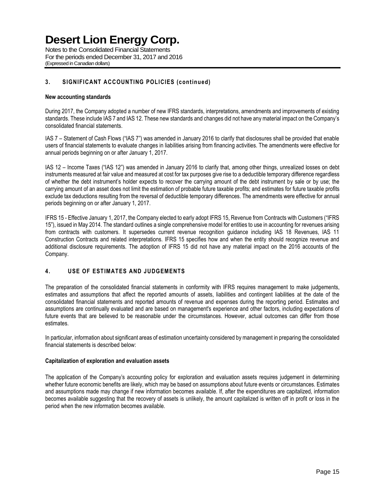Notes to the Consolidated Financial Statements For the periods ended December 31, 2017 and 2016 (Expressed in Canadian dollars)

### **3. SIGNIFICANT ACCOUNTING POLICIES (continued)**

### **New accounting standards**

During 2017, the Company adopted a number of new IFRS standards, interpretations, amendments and improvements of existing standards. These include IAS 7 and IAS 12. These new standards and changes did not have any material impact on the Company's consolidated financial statements.

IAS 7 – Statement of Cash Flows ("IAS 7") was amended in January 2016 to clarify that disclosures shall be provided that enable users of financial statements to evaluate changes in liabilities arising from financing activities. The amendments were effective for annual periods beginning on or after January 1, 2017.

IAS 12 – Income Taxes ("IAS 12") was amended in January 2016 to clarify that, among other things, unrealized losses on debt instruments measured at fair value and measured at cost for tax purposes give rise to a deductible temporary difference regardless of whether the debt instrument's holder expects to recover the carrying amount of the debt instrument by sale or by use; the carrying amount of an asset does not limit the estimation of probable future taxable profits; and estimates for future taxable profits exclude tax deductions resulting from the reversal of deductible temporary differences. The amendments were effective for annual periods beginning on or after January 1, 2017.

IFRS 15 - Effective January 1, 2017, the Company elected to early adopt IFRS 15, Revenue from Contracts with Customers ("IFRS 15"), issued in May 2014. The standard outlines a single comprehensive model for entities to use in accounting for revenues arising from contracts with customers. It supersedes current revenue recognition guidance including IAS 18 Revenues, IAS 11 Construction Contracts and related interpretations. IFRS 15 specifies how and when the entity should recognize revenue and additional disclosure requirements. The adoption of IFRS 15 did not have any material impact on the 2016 accounts of the Company.

### **4. USE OF ESTIMATES AND JUDGEMENTS**

The preparation of the consolidated financial statements in conformity with IFRS requires management to make judgements, estimates and assumptions that affect the reported amounts of assets, liabilities and contingent liabilities at the date of the consolidated financial statements and reported amounts of revenue and expenses during the reporting period. Estimates and assumptions are continually evaluated and are based on management's experience and other factors, including expectations of future events that are believed to be reasonable under the circumstances. However, actual outcomes can differ from those estimates.

In particular, information about significant areas of estimation uncertainty considered by management in preparing the consolidated financial statements is described below:

### **Capitalization of exploration and evaluation assets**

The application of the Company's accounting policy for exploration and evaluation assets requires judgement in determining whether future economic benefits are likely, which may be based on assumptions about future events or circumstances. Estimates and assumptions made may change if new information becomes available. If, after the expenditures are capitalized, information becomes available suggesting that the recovery of assets is unlikely, the amount capitalized is written off in profit or loss in the period when the new information becomes available.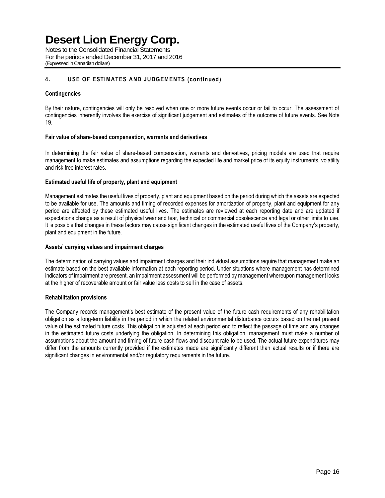Notes to the Consolidated Financial Statements For the periods ended December 31, 2017 and 2016 (Expressed in Canadian dollars)

## **4. USE OF ESTIMATES AND JUDGEMENTS (continued)**

### **Contingencies**

By their nature, contingencies will only be resolved when one or more future events occur or fail to occur. The assessment of contingencies inherently involves the exercise of significant judgement and estimates of the outcome of future events. See Note 19.

### **Fair value of share-based compensation, warrants and derivatives**

In determining the fair value of share-based compensation, warrants and derivatives, pricing models are used that require management to make estimates and assumptions regarding the expected life and market price of its equity instruments, volatility and risk free interest rates.

### **Estimated useful life of property, plant and equipment**

Management estimates the useful lives of property, plant and equipment based on the period during which the assets are expected to be available for use. The amounts and timing of recorded expenses for amortization of property, plant and equipment for any period are affected by these estimated useful lives. The estimates are reviewed at each reporting date and are updated if expectations change as a result of physical wear and tear, technical or commercial obsolescence and legal or other limits to use. It is possible that changes in these factors may cause significant changes in the estimated useful lives of the Company's property, plant and equipment in the future.

### **Assets' carrying values and impairment charges**

The determination of carrying values and impairment charges and their individual assumptions require that management make an estimate based on the best available information at each reporting period. Under situations where management has determined indicators of impairment are present, an impairment assessment will be performed by management whereupon management looks at the higher of recoverable amount or fair value less costs to sell in the case of assets.

#### **Rehabilitation provisions**

The Company records management's best estimate of the present value of the future cash requirements of any rehabilitation obligation as a long-term liability in the period in which the related environmental disturbance occurs based on the net present value of the estimated future costs. This obligation is adjusted at each period end to reflect the passage of time and any changes in the estimated future costs underlying the obligation. In determining this obligation, management must make a number of assumptions about the amount and timing of future cash flows and discount rate to be used. The actual future expenditures may differ from the amounts currently provided if the estimates made are significantly different than actual results or if there are significant changes in environmental and/or regulatory requirements in the future.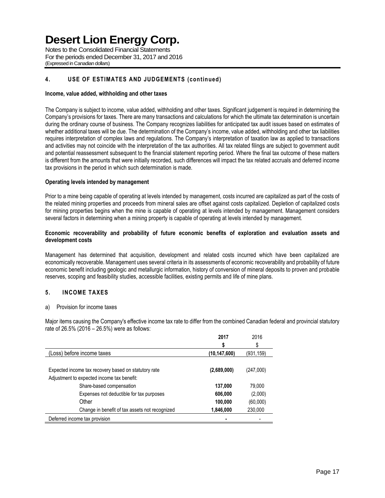Notes to the Consolidated Financial Statements For the periods ended December 31, 2017 and 2016 (Expressed in Canadian dollars)

## **4. USE OF ESTIMATES AND JUDGEMENTS (continued)**

### **Income, value added, withholding and other taxes**

The Company is subject to income, value added, withholding and other taxes. Significant judgement is required in determining the Company's provisions for taxes. There are many transactions and calculations for which the ultimate tax determination is uncertain during the ordinary course of business. The Company recognizes liabilities for anticipated tax audit issues based on estimates of whether additional taxes will be due. The determination of the Company's income, value added, withholding and other tax liabilities requires interpretation of complex laws and regulations. The Company's interpretation of taxation law as applied to transactions and activities may not coincide with the interpretation of the tax authorities. All tax related filings are subject to government audit and potential reassessment subsequent to the financial statement reporting period. Where the final tax outcome of these matters is different from the amounts that were initially recorded, such differences will impact the tax related accruals and deferred income tax provisions in the period in which such determination is made.

### **Operating levels intended by management**

Prior to a mine being capable of operating at levels intended by management, costs incurred are capitalized as part of the costs of the related mining properties and proceeds from mineral sales are offset against costs capitalized. Depletion of capitalized costs for mining properties begins when the mine is capable of operating at levels intended by management. Management considers several factors in determining when a mining property is capable of operating at levels intended by management.

### **Economic recoverability and probability of future economic benefits of exploration and evaluation assets and development costs**

Management has determined that acquisition, development and related costs incurred which have been capitalized are economically recoverable. Management uses several criteria in its assessments of economic recoverability and probability of future economic benefit including geologic and metallurgic information, history of conversion of mineral deposits to proven and probable reserves, scoping and feasibility studies, accessible facilities, existing permits and life of mine plans.

### **5. INCOME TAXES**

#### a) Provision for income taxes

Major items causing the Company's effective income tax rate to differ from the combined Canadian federal and provincial statutory rate of 26.5% (2016 – 26.5%) were as follows:

|                                                      | 2017           | 2016      |
|------------------------------------------------------|----------------|-----------|
|                                                      | \$             | \$        |
| (Loss) before income taxes                           | (10, 147, 600) | (931,159) |
|                                                      |                |           |
| Expected income tax recovery based on statutory rate | (2,689,000)    | (247,000) |
| Adjustment to expected income tax benefit:           |                |           |
| Share-based compensation                             | 137,000        | 79.000    |
| Expenses not deductible for tax purposes             | 606,000        | (2,000)   |
| Other                                                | 100,000        | (60,000)  |
| Change in benefit of tax assets not recognized       | 1,846,000      | 230,000   |
| Deferred income tax provision                        |                |           |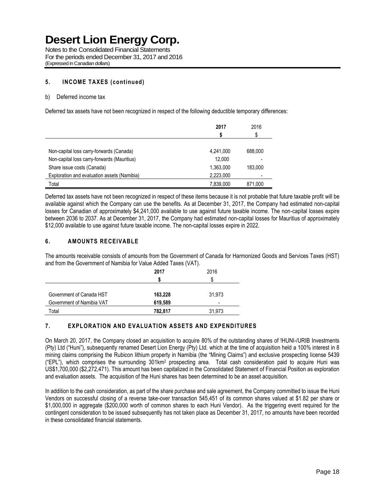Notes to the Consolidated Financial Statements For the periods ended December 31, 2017 and 2016 (Expressed in Canadian dollars)

### **5. INCOME TAXES (continued)**

### b) Deferred income tax

Deferred tax assets have not been recognized in respect of the following deductible temporary differences:

|                                             | 2017      | 2016<br>\$ |
|---------------------------------------------|-----------|------------|
| Non-capital loss carry-forwards (Canada)    | 4.241.000 | 688,000    |
| Non-capital loss carry-forwards (Mauritius) | 12.000    |            |
| Share issue costs (Canada)                  | 1,363,000 | 183.000    |
| Exploration and evaluation assets (Namibia) | 2,223,000 |            |
| Total                                       | 7,839,000 | 871,000    |

Deferred tax assets have not been recognized in respect of these items because it is not probable that future taxable profit will be available against which the Company can use the benefits. As at December 31, 2017, the Company had estimated non-capital losses for Canadian of approximately \$4,241,000 available to use against future taxable income. The non-capital losses expire between 2036 to 2037. As at December 31, 2017, the Company had estimated non-capital losses for Mauritius of approximately \$12,000 available to use against future taxable income. The non-capital losses expire in 2022.

### **6. AMOUNTS RECEIVABLE**

The amounts receivable consists of amounts from the Government of Canada for Harmonized Goods and Services Taxes (HST) and from the Government of Namibia for Value Added Taxes (VAT).

|                           | 2017    | 2016   |
|---------------------------|---------|--------|
| Government of Canada HST  | 163,228 | 31,973 |
| Government of Namibia VAT | 619,589 | -      |
| Total                     | 782,817 | 31,973 |

### **7. EXPLORATION AND EVALUATION ASSETS AND EXPENDITURES**

On March 20, 2017, the Company closed an acquisition to acquire 80% of the outstanding shares of !HUNI-/URIB Investments (Pty) Ltd ("Huni"), subsequently renamed Desert Lion Energy (Pty) Ltd. which at the time of acquisition held a 100% interest in 8 mining claims comprising the Rubicon lithium property in Namibia (the "Mining Claims") and exclusive prospecting license 5439 ("EPL"), which comprises the surrounding 301km<sup>2</sup> prospecting area. Total cash consideration paid to acquire Huni was US\$1,700,000 (\$2,272,471). This amount has been capitalized in the Consolidated Statement of Financial Position as exploration and evaluation assets. The acquisition of the Huni shares has been determined to be an asset acquisition.

In addition to the cash consideration, as part of the share purchase and sale agreement, the Company committed to issue the Huni Vendors on successful closing of a reverse take-over transaction 545,451 of its common shares valued at \$1.82 per share or \$1,000,000 in aggregate (\$200,000 worth of common shares to each Huni Vendor). As the triggering event required for the contingent consideration to be issued subsequently has not taken place as December 31, 2017, no amounts have been recorded in these consolidated financial statements.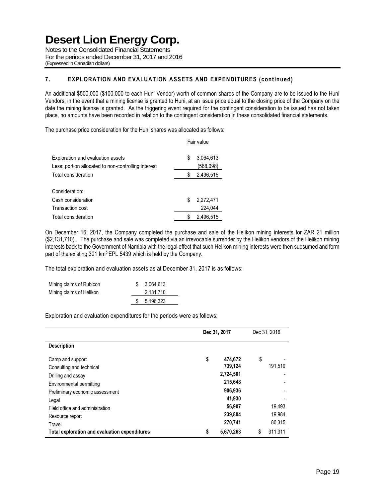Notes to the Consolidated Financial Statements For the periods ended December 31, 2017 and 2016 (Expressed in Canadian dollars)

## **7. EXPLORATION AND EVALUATION ASSETS AND EXPENDITURES (continued)**

An additional \$500,000 (\$100,000 to each Huni Vendor) worth of common shares of the Company are to be issued to the Huni Vendors, in the event that a mining license is granted to Huni, at an issue price equal to the closing price of the Company on the date the mining license is granted. As the triggering event required for the contingent consideration to be issued has not taken place, no amounts have been recorded in relation to the contingent consideration in these consolidated financial statements.

The purchase price consideration for the Huni shares was allocated as follows:

|                                                                                          | Fair value |                        |
|------------------------------------------------------------------------------------------|------------|------------------------|
| Exploration and evaluation assets<br>Less: portion allocated to non-controlling interest | S          | 3,064,613<br>(568,098) |
| Total consideration                                                                      | S          | 2,496,515              |
|                                                                                          |            |                        |
| Consideration:                                                                           |            |                        |
| Cash consideration                                                                       | S          | 2.272.471              |
| Transaction cost                                                                         |            | 224.044                |
| Total consideration                                                                      | S          | 2.496.515              |

On December 16, 2017, the Company completed the purchase and sale of the Helikon mining interests for ZAR 21 million (\$2,131,710). The purchase and sale was completed via an irrevocable surrender by the Helikon vendors of the Helikon mining interests back to the Government of Namibia with the legal effect that such Helikon mining interests were then subsumed and form part of the existing 301 km2 EPL 5439 which is held by the Company.

The total exploration and evaluation assets as at December 31, 2017 is as follows:

| Mining claims of Rubicon | 3.064.613 |
|--------------------------|-----------|
| Mining claims of Helikon | 2.131.710 |
|                          | 5,196,323 |

Exploration and evaluation expenditures for the periods were as follows:

|                                               | Dec 31, 2017 |           | Dec 31, 2016 |         |
|-----------------------------------------------|--------------|-----------|--------------|---------|
| <b>Description</b>                            |              |           |              |         |
| Camp and support                              | \$           | 474.672   | \$           |         |
| Consulting and technical                      |              | 739,124   |              | 191,519 |
| Drilling and assay                            |              | 2,724,501 |              |         |
| Environmental permitting                      |              | 215,648   |              |         |
| Preliminary economic assessment               |              | 906,936   |              |         |
| Legal                                         |              | 41,930    |              |         |
| Field office and administration               |              | 56,907    |              | 19,493  |
| Resource report                               |              | 239,804   |              | 19,984  |
| Travel                                        |              | 270,741   |              | 80,315  |
| Total exploration and evaluation expenditures | S            | 5,670,263 | \$           | 311,311 |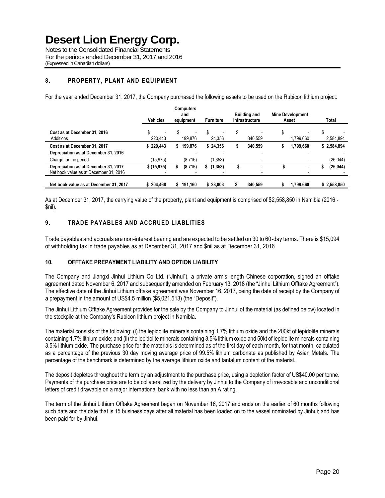Notes to the Consolidated Financial Statements For the periods ended December 31, 2017 and 2016 (Expressed in Canadian dollars)

## **8. PROPERTY, PLANT AND EQUIPMENT**

For the year ended December 31, 2017, the Company purchased the following assets to be used on the Rubicon lithium project:

|                                                                                | <b>Vehicles</b> | <b>Computers</b><br>and<br>equipment | <b>Furniture</b> | <b>Building and</b><br><b>Infrastructure</b> | <b>Mine Development</b><br>Asset | Total       |
|--------------------------------------------------------------------------------|-----------------|--------------------------------------|------------------|----------------------------------------------|----------------------------------|-------------|
| Cost as at December 31, 2016<br>Additions                                      | 220,443         | S<br>199.876                         | S<br>24.356      | S<br>340.559                                 | S<br>1.799.660                   | 2,584,894   |
| Cost as at December 31, 2017                                                   | \$220.443       | \$199,876                            | \$24,356         | 340.559                                      | 1.799.660<br>S                   | \$2,584,894 |
| Depreciation as at December 31, 2016                                           |                 |                                      |                  |                                              |                                  |             |
| Charge for the period                                                          | (15,975)        | (8,716)                              | (1, 353)         |                                              |                                  | (26, 044)   |
| Depreciation as at December 31, 2017<br>Net book value as at December 31, 2016 | \$ (15, 975)    | (8,716)                              | \$(1,353)        |                                              | $\blacksquare$                   | (26, 044)   |
| Net book value as at December 31, 2017                                         | \$204.468       | \$191,160                            | \$23,003         | 340,559                                      | 1,799,660                        | \$2,558,850 |

As at December 31, 2017, the carrying value of the property, plant and equipment is comprised of \$2,558,850 in Namibia (2016 - \$nil).

## **9. TRADE PAYABLES AND ACCRUED LIABLITIES**

Trade payables and accruals are non-interest bearing and are expected to be settled on 30 to 60-day terms. There is \$15,094 of withholding tax in trade payables as at December 31, 2017 and \$nil as at December 31, 2016.

### **10. OFFTAKE PREPAYMENT LIABILITY AND OPTION LIABILITY**

The Company and Jiangxi Jinhui Lithium Co Ltd. ("Jinhui"), a private arm's length Chinese corporation, signed an offtake agreement dated November 6, 2017 and subsequently amended on February 13, 2018 (the "Jinhui Lithium Offtake Agreement"). The effective date of the Jinhui Lithium offtake agreement was November 16, 2017, being the date of receipt by the Company of a prepayment in the amount of US\$4.5 million (\$5,021,513) (the "Deposit").

The Jinhui Lithium Offtake Agreement provides for the sale by the Company to Jinhui of the material (as defined below) located in the stockpile at the Company's Rubicon lithium project in Namibia.

The material consists of the following: (i) the lepidolite minerals containing 1.7% lithium oxide and the 200kt of lepidolite minerals containing 1.7% lithium oxide; and (ii) the lepidolite minerals containing 3.5% lithium oxide and 50kt of lepidolite minerals containing 3.5% lithium oxide. The purchase price for the materials is determined as of the first day of each month, for that month, calculated as a percentage of the previous 30 day moving average price of 99.5% lithium carbonate as published by Asian Metals. The percentage of the benchmark is determined by the average lithium oxide and tantalum content of the material.

The deposit depletes throughout the term by an adjustment to the purchase price, using a depletion factor of US\$40.00 per tonne. Payments of the purchase price are to be collateralized by the delivery by Jinhui to the Company of irrevocable and unconditional letters of credit drawable on a major international bank with no less than an A rating.

The term of the Jinhui Lithium Offtake Agreement began on November 16, 2017 and ends on the earlier of 60 months following such date and the date that is 15 business days after all material has been loaded on to the vessel nominated by Jinhui; and has been paid for by Jinhui.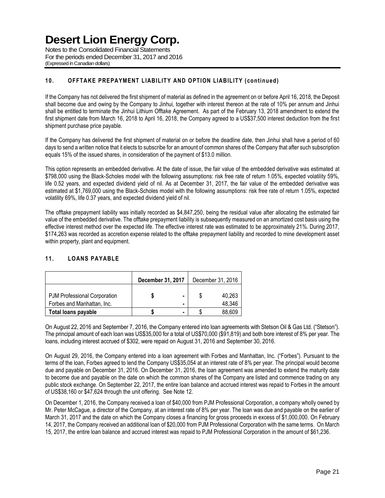Notes to the Consolidated Financial Statements For the periods ended December 31, 2017 and 2016 (Expressed in Canadian dollars)

## **10. OFFTAKE PREPAYMENT LIABILITY AND OPTION LIABILITY (continued)**

If the Company has not delivered the first shipment of material as defined in the agreement on or before April 16, 2018, the Deposit shall become due and owing by the Company to Jinhui, together with interest thereon at the rate of 10% per annum and Jinhui shall be entitled to terminate the Jinhui Lithium Offtake Agreement. As part of the February 13, 2018 amendment to extend the first shipment date from March 16, 2018 to April 16, 2018, the Company agreed to a US\$37,500 interest deduction from the first shipment purchase price payable.

If the Company has delivered the first shipment of material on or before the deadline date, then Jinhui shall have a period of 60 days to send a written notice that it elects to subscribe for an amount of common shares of the Company that after such subscription equals 15% of the issued shares, in consideration of the payment of \$13.0 million.

This option represents an embedded derivative. At the date of issue, the fair value of the embedded derivative was estimated at \$798,000 using the Black-Scholes model with the following assumptions: risk free rate of return 1.05%, expected volatility 59%, life 0.52 years, and expected dividend yield of nil. As at December 31, 2017, the fair value of the embedded derivative was estimated at \$1,769,000 using the Black-Scholes model with the following assumptions: risk free rate of return 1.05%, expected volatility 69%, life 0.37 years, and expected dividend yield of nil.

The offtake prepayment liability was initially recorded as \$4,847,250, being the residual value after allocating the estimated fair value of the embedded derivative. The offtake prepayment liability is subsequently measured on an amortized cost basis using the effective interest method over the expected life. The effective interest rate was estimated to be approximately 21%. During 2017, \$174,263 was recorded as accretion expense related to the offtake prepayment liability and recorded to mine development asset within property, plant and equipment.

### **11. LOANS PAYABLE**

|                                                            | December 31, 2017 |                                                      | December 31, 2016 |                  |  |
|------------------------------------------------------------|-------------------|------------------------------------------------------|-------------------|------------------|--|
| PJM Professional Corporation<br>Forbes and Manhattan, Inc. |                   | $\overline{\phantom{0}}$<br>$\overline{\phantom{0}}$ |                   | 40.263<br>48,346 |  |
| <b>Total loans payable</b>                                 |                   |                                                      |                   | 88.609           |  |

On August 22, 2016 and September 7, 2016, the Company entered into loan agreements with Stetson Oil & Gas Ltd. ("Stetson"). The principal amount of each loan was US\$35,000 for a total of US\$70,000 (\$91,819) and both bore interest of 8% per year. The loans, including interest accrued of \$302, were repaid on August 31, 2016 and September 30, 2016.

On August 29, 2016, the Company entered into a loan agreement with Forbes and Manhattan, Inc. ("Forbes"). Pursuant to the terms of the loan, Forbes agreed to lend the Company US\$35,054 at an interest rate of 8% per year. The principal would become due and payable on December 31, 2016. On December 31, 2016, the loan agreement was amended to extend the maturity date to become due and payable on the date on which the common shares of the Company are listed and commence trading on any public stock exchange. On September 22, 2017, the entire loan balance and accrued interest was repaid to Forbes in the amount of US\$38,160 or \$47,624 through the unit offering. See Note 12.

On December 1, 2016, the Company received a loan of \$40,000 from PJM Professional Corporation, a company wholly owned by Mr. Peter McCague, a director of the Company, at an interest rate of 8% per year. The loan was due and payable on the earlier of March 31, 2017 and the date on which the Company closes a financing for gross proceeds in excess of \$1,000,000. On February 14, 2017, the Company received an additional loan of \$20,000 from PJM Professional Corporation with the same terms. On March 15, 2017, the entire loan balance and accrued interest was repaid to PJM Professional Corporation in the amount of \$61,236.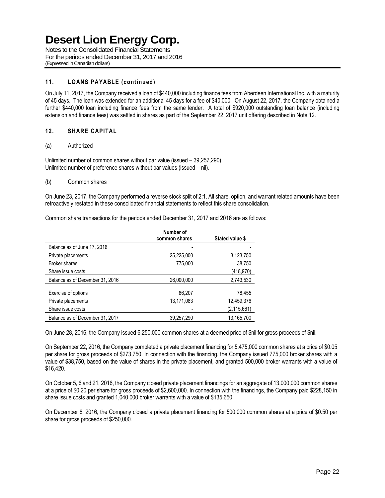Notes to the Consolidated Financial Statements For the periods ended December 31, 2017 and 2016 (Expressed in Canadian dollars)

### **11. LOANS PAYABLE (continued)**

On July 11, 2017, the Company received a loan of \$440,000 including finance fees from Aberdeen International Inc. with a maturity of 45 days. The loan was extended for an additional 45 days for a fee of \$40,000. On August 22, 2017, the Company obtained a further \$440,000 loan including finance fees from the same lender. A total of \$920,000 outstanding loan balance (including extension and finance fees) was settled in shares as part of the September 22, 2017 unit offering described in Note 12.

### **12. SHARE CAPITAL**

### (a) Authorized

Unlimited number of common shares without par value (issued – 39,257,290) Unlimited number of preference shares without par values (issued – nil).

### (b) Common shares

On June 23, 2017, the Company performed a reverse stock split of 2:1. All share, option, and warrant related amounts have been retroactively restated in these consolidated financial statements to reflect this share consolidation.

Common share transactions for the periods ended December 31, 2017 and 2016 are as follows:

|                                 | Number of<br>common shares | Stated value \$ |
|---------------------------------|----------------------------|-----------------|
| Balance as of June 17, 2016     |                            |                 |
| Private placements              | 25,225,000                 | 3,123,750       |
| <b>Broker shares</b>            | 775,000                    | 38,750          |
| Share issue costs               |                            | (418, 970)      |
| Balance as of December 31, 2016 | 26,000,000                 | 2,743,530       |
| Exercise of options             | 86,207                     | 78,455          |
| Private placements              | 13,171,083                 | 12,459,376      |
| Share issue costs               |                            | (2, 115, 661)   |
| Balance as of December 31, 2017 | 39,257,290                 | 13,165,700      |
|                                 |                            |                 |

On June 28, 2016, the Company issued 6,250,000 common shares at a deemed price of \$nil for gross proceeds of \$nil.

On September 22, 2016, the Company completed a private placement financing for 5,475,000 common shares at a price of \$0.05 per share for gross proceeds of \$273,750. In connection with the financing, the Company issued 775,000 broker shares with a value of \$38,750, based on the value of shares in the private placement, and granted 500,000 broker warrants with a value of \$16,420.

On October 5, 6 and 21, 2016, the Company closed private placement financings for an aggregate of 13,000,000 common shares at a price of \$0.20 per share for gross proceeds of \$2,600,000. In connection with the financings, the Company paid \$228,150 in share issue costs and granted 1,040,000 broker warrants with a value of \$135,650.

On December 8, 2016, the Company closed a private placement financing for 500,000 common shares at a price of \$0.50 per share for gross proceeds of \$250,000.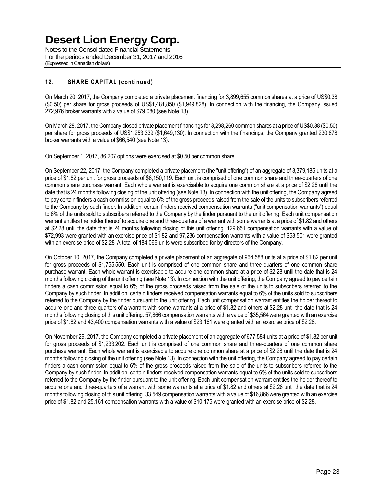Notes to the Consolidated Financial Statements For the periods ended December 31, 2017 and 2016 (Expressed in Canadian dollars)

### **12. SHARE CAPITAL (continued)**

On March 20, 2017, the Company completed a private placement financing for 3,899,655 common shares at a price of US\$0.38 (\$0.50) per share for gross proceeds of US\$1,481,850 (\$1,949,828). In connection with the financing, the Company issued 272,976 broker warrants with a value of \$79,080 (see Note 13).

On March 28, 2017, the Company closed private placement financings for 3,298,260 common shares at a price of US\$0.38 (\$0.50) per share for gross proceeds of US\$1,253,339 (\$1,649,130). In connection with the financings, the Company granted 230,878 broker warrants with a value of \$66,540 (see Note 13).

On September 1, 2017, 86,207 options were exercised at \$0.50 per common share.

On September 22, 2017, the Company completed a private placement (the "unit offering") of an aggregate of 3,379,185 units at a price of \$1.82 per unit for gross proceeds of \$6,150,119. Each unit is comprised of one common share and three-quarters of one common share purchase warrant. Each whole warrant is exercisable to acquire one common share at a price of \$2.28 until the date that is 24 months following closing of the unit offering (see Note 13). In connection with the unit offering, the Company agreed to pay certain finders a cash commission equal to 6% of the gross proceeds raised from the sale of the units to subscribers referred to the Company by such finder. In addition, certain finders received compensation warrants ("unit compensation warrants") equal to 6% of the units sold to subscribers referred to the Company by the finder pursuant to the unit offering. Each unit compensation warrant entitles the holder thereof to acquire one and three-quarters of a warrant with some warrants at a price of \$1.82 and others at \$2.28 until the date that is 24 months following closing of this unit offering. 129,651 compensation warrants with a value of \$72,993 were granted with an exercise price of \$1.82 and 97,236 compensation warrants with a value of \$53,501 were granted with an exercise price of \$2.28. A total of 184,066 units were subscribed for by directors of the Company.

On October 10, 2017, the Company completed a private placement of an aggregate of 964,588 units at a price of \$1.82 per unit for gross proceeds of \$1,755,550. Each unit is comprised of one common share and three-quarters of one common share purchase warrant. Each whole warrant is exercisable to acquire one common share at a price of \$2.28 until the date that is 24 months following closing of the unit offering (see Note 13). In connection with the unit offering, the Company agreed to pay certain finders a cash commission equal to 6% of the gross proceeds raised from the sale of the units to subscribers referred to the Company by such finder. In addition, certain finders received compensation warrants equal to 6% of the units sold to subscribers referred to the Company by the finder pursuant to the unit offering. Each unit compensation warrant entitles the holder thereof to acquire one and three-quarters of a warrant with some warrants at a price of \$1.82 and others at \$2.28 until the date that is 24 months following closing of this unit offering. 57,866 compensation warrants with a value of \$35,564 were granted with an exercise price of \$1.82 and 43,400 compensation warrants with a value of \$23,161 were granted with an exercise price of \$2.28.

On November 29, 2017, the Company completed a private placement of an aggregate of 677,584 units at a price of \$1.82 per unit for gross proceeds of \$1,233,202. Each unit is comprised of one common share and three-quarters of one common share purchase warrant. Each whole warrant is exercisable to acquire one common share at a price of \$2.28 until the date that is 24 months following closing of the unit offering (see Note 13). In connection with the unit offering, the Company agreed to pay certain finders a cash commission equal to 6% of the gross proceeds raised from the sale of the units to subscribers referred to the Company by such finder. In addition, certain finders received compensation warrants equal to 6% of the units sold to subscribers referred to the Company by the finder pursuant to the unit offering. Each unit compensation warrant entitles the holder thereof to acquire one and three-quarters of a warrant with some warrants at a price of \$1.82 and others at \$2.28 until the date that is 24 months following closing of this unit offering. 33,549 compensation warrants with a value of \$16,866 were granted with an exercise price of \$1.82 and 25,161 compensation warrants with a value of \$10,175 were granted with an exercise price of \$2.28.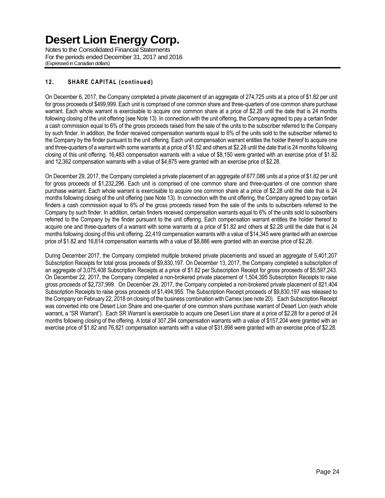Notes to the Consolidated Financial Statements For the periods ended December 31, 2017 and 2016 (Expressed in Canadian dollars)

## **12. SHARE CAPITAL (continued)**

On December 6, 2017, the Company completed a private placement of an aggregate of 274,725 units at a price of \$1.82 per unit for gross proceeds of \$499,999. Each unit is comprised of one common share and three-quarters of one common share purchase warrant. Each whole warrant is exercisable to acquire one common share at a price of \$2.28 until the date that is 24 months following closing of the unit offering (see Note 13). In connection with the unit offering, the Company agreed to pay a certain finder a cash commission equal to 6% of the gross proceeds raised from the sale of the units to the subscriber referred to the Company by such finder. In addition, the finder received compensation warrants equal to 6% of the units sold to the subscriber referred to the Company by the finder pursuant to the unit offering. Each unit compensation warrant entitles the holder thereof to acquire one and three-quarters of a warrant with some warrants at a price of \$1.82 and others at \$2.28 until the date that is 24 months following closing of this unit offering. 16,483 compensation warrants with a value of \$8,150 were granted with an exercise price of \$1.82 and 12,362 compensation warrants with a value of \$4,875 were granted with an exercise price of \$2.28.

On December 29, 2017, the Company completed a private placement of an aggregate of 677,086 units at a price of \$1.82 per unit for gross proceeds of \$1,232,296. Each unit is comprised of one common share and three-quarters of one common share purchase warrant. Each whole warrant is exercisable to acquire one common share at a price of \$2.28 until the date that is 24 months following closing of the unit offering (see Note 13). In connection with the unit offering, the Company agreed to pay certain finders a cash commission equal to 6% of the gross proceeds raised from the sale of the units to subscribers referred to the Company by such finder. In addition, certain finders received compensation warrants equal to 6% of the units sold to subscribers referred to the Company by the finder pursuant to the unit offering. Each compensation warrant entitles the holder thereof to acquire one and three-quarters of a warrant with some warrants at a price of \$1.82 and others at \$2.28 until the date that is 24 months following closing of this unit offering. 22,419 compensation warrants with a value of \$14,345 were granted with an exercise price of \$1.82 and 16,814 compensation warrants with a value of \$8,886 were granted with an exercise price of \$2.28.

During December 2017, the Company completed multiple brokered private placements and issued an aggregate of 5,401,207 Subscription Receipts for total gross proceeds of \$9,830,197. On December 13, 2017, the Company completed a subscription of an aggregate of 3,075,408 Subscription Receipts at a price of \$1.82 per Subscription Receipt for gross proceeds of \$5,597,243. On December 22, 2017, the Company completed a non-brokered private placement of 1,504,395 Subscription Receipts to raise gross proceeds of \$2,737,999. On December 29, 2017, the Company completed a non-brokered private placement of 821,404 Subscription Receipts to raise gross proceeds of \$1,494,955. The Subscription Receipt proceeds of \$9,830,197 was released to the Company on February 22, 2018 on closing of the business combination with Camex (see note 20). Each Subscription Receipt was converted into one Desert Lion Share and one-quarter of one common share purchase warrant of Desert Lion (each whole warrant, a "SR Warrant"). Each SR Warrant is exercisable to acquire one Desert Lion share at a price of \$2.28 for a period of 24 months following closing of the offering. A total of 307,294 compensation warrants with a value of \$157,204 were granted with an exercise price of \$1.82 and 76,821 compensation warrants with a value of \$31,898 were granted with an exercise price of \$2.28.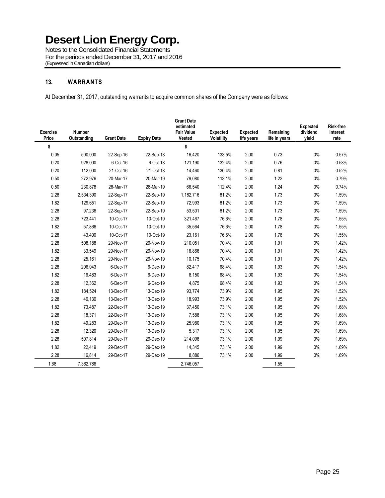Notes to the Consolidated Financial Statements For the periods ended December 31, 2017 and 2016 (Expressed in Canadian dollars)

### **13. WARRANTS**

At December 31, 2017, outstanding warrants to acquire common shares of the Company were as follows:

| <b>Exercise</b><br>Price | <b>Number</b><br>Outstanding | <b>Grant Date</b> | <b>Expiry Date</b> | <b>Grant Date</b><br>estimated<br><b>Fair Value</b><br>Vested | <b>Expected</b><br>Volatility | <b>Expected</b><br>life years | Remaining<br>life in years | <b>Expected</b><br>dividend<br>yield | <b>Risk-free</b><br>interest<br>rate |
|--------------------------|------------------------------|-------------------|--------------------|---------------------------------------------------------------|-------------------------------|-------------------------------|----------------------------|--------------------------------------|--------------------------------------|
| \$                       |                              |                   |                    | \$                                                            |                               |                               |                            |                                      |                                      |
| 0.05                     | 500,000                      | 22-Sep-16         | 22-Sep-18          | 16,420                                                        | 133.5%                        | 2.00                          | 0.73                       | 0%                                   | 0.57%                                |
| 0.20                     | 928,000                      | 6-Oct-16          | 6-Oct-18           | 121,190                                                       | 132.4%                        | 2.00                          | 0.76                       | $0\%$                                | 0.58%                                |
| 0.20                     | 112,000                      | 21-Oct-16         | 21-Oct-18          | 14,460                                                        | 130.4%                        | 2.00                          | 0.81                       | $0\%$                                | 0.52%                                |
| 0.50                     | 272,976                      | 20-Mar-17         | 20-Mar-19          | 79,080                                                        | 113.1%                        | 2.00                          | 1.22                       | $0\%$                                | 0.79%                                |
| 0.50                     | 230,878                      | 28-Mar-17         | 28-Mar-19          | 66,540                                                        | 112.4%                        | 2.00                          | 1.24                       | $0\%$                                | 0.74%                                |
| 2.28                     | 2,534,390                    | 22-Sep-17         | 22-Sep-19          | 1,182,716                                                     | 81.2%                         | 2.00                          | 1.73                       | $0\%$                                | 1.59%                                |
| 1.82                     | 129,651                      | 22-Sep-17         | 22-Sep-19          | 72,993                                                        | 81.2%                         | 2.00                          | 1.73                       | $0\%$                                | 1.59%                                |
| 2.28                     | 97,236                       | 22-Sep-17         | 22-Sep-19          | 53,501                                                        | 81.2%                         | 2.00                          | 1.73                       | $0\%$                                | 1.59%                                |
| 2.28                     | 723,441                      | 10-Oct-17         | 10-Oct-19          | 321,467                                                       | 76.6%                         | 2.00                          | 1.78                       | $0\%$                                | 1.55%                                |
| 1.82                     | 57,866                       | 10-Oct-17         | 10-Oct-19          | 35,564                                                        | 76.6%                         | 2.00                          | 1.78                       | $0\%$                                | 1.55%                                |
| 2.28                     | 43,400                       | 10-Oct-17         | 10-Oct-19          | 23,161                                                        | 76.6%                         | 2.00                          | 1.78                       | 0%                                   | 1.55%                                |
| 2.28                     | 508,188                      | 29-Nov-17         | 29-Nov-19          | 210,051                                                       | 70.4%                         | 2.00                          | 1.91                       | $0\%$                                | 1.42%                                |
| 1.82                     | 33,549                       | 29-Nov-17         | 29-Nov-19          | 16,866                                                        | 70.4%                         | 2.00                          | 1.91                       | $0\%$                                | 1.42%                                |
| 2.28                     | 25,161                       | 29-Nov-17         | 29-Nov-19          | 10,175                                                        | 70.4%                         | 2.00                          | 1.91                       | $0\%$                                | 1.42%                                |
| 2.28                     | 206,043                      | 6-Dec-17          | 6-Dec-19           | 82,417                                                        | 68.4%                         | 2.00                          | 1.93                       | $0\%$                                | 1.54%                                |
| 1.82                     | 16,483                       | 6-Dec-17          | 6-Dec-19           | 8,150                                                         | 68.4%                         | 2.00                          | 1.93                       | $0\%$                                | 1.54%                                |
| 2.28                     | 12,362                       | 6-Dec-17          | 6-Dec-19           | 4,875                                                         | 68.4%                         | 2.00                          | 1.93                       | $0\%$                                | 1.54%                                |
| 1.82                     | 184,524                      | 13-Dec-17         | 13-Dec-19          | 93,774                                                        | 73.9%                         | 2.00                          | 1.95                       | $0\%$                                | 1.52%                                |
| 2.28                     | 46,130                       | 13-Dec-17         | 13-Dec-19          | 18,993                                                        | 73.9%                         | 2.00                          | 1.95                       | $0\%$                                | 1.52%                                |
| 1.82                     | 73,487                       | 22-Dec-17         | 13-Dec-19          | 37,450                                                        | 73.1%                         | 2.00                          | 1.95                       | 0%                                   | 1.68%                                |
| 2.28                     | 18,371                       | 22-Dec-17         | 13-Dec-19          | 7,588                                                         | 73.1%                         | 2.00                          | 1.95                       | $0\%$                                | 1.68%                                |
| 1.82                     | 49,283                       | 29-Dec-17         | 13-Dec-19          | 25,980                                                        | 73.1%                         | 2.00                          | 1.95                       | 0%                                   | 1.69%                                |
| 2.28                     | 12,320                       | 29-Dec-17         | 13-Dec-19          | 5,317                                                         | 73.1%                         | 2.00                          | 1.95                       | $0\%$                                | 1.69%                                |
| 2.28                     | 507,814                      | 29-Dec-17         | 29-Dec-19          | 214,098                                                       | 73.1%                         | 2.00                          | 1.99                       | $0\%$                                | 1.69%                                |
| 1.82                     | 22,419                       | 29-Dec-17         | 29-Dec-19          | 14,345                                                        | 73.1%                         | 2.00                          | 1.99                       | $0\%$                                | 1.69%                                |
| 2.28                     | 16,814                       | 29-Dec-17         | 29-Dec-19          | 8,886                                                         | 73.1%                         | 2.00                          | 1.99                       | $0\%$                                | 1.69%                                |
| 1.68                     | 7,362,786                    |                   |                    | 2.746.057                                                     |                               |                               | 1.55                       |                                      |                                      |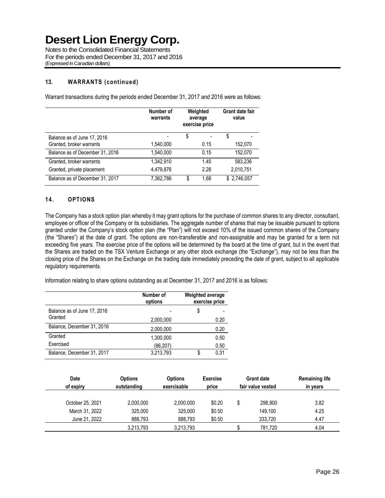Notes to the Consolidated Financial Statements For the periods ended December 31, 2017 and 2016 (Expressed in Canadian dollars)

### **13. WARRANTS (continued)**

**Number of warrants Weighted average exercise price Grant date fair value** Balance as of June 17, 2016 **5** 5 Granted, broker warrants 1,540,000 0.15 152,070 Balance as of December 31, 2016 1,540,000 0.15 152,070 Granted, broker warrants 1,342,910 1.45 583,236 Granted, private placement 4,479,876 2.28 2,010,751 Balance as of December 31, 2017 7,362,786 \$ 1.68 \$ 2,746,057

Warrant transactions during the periods ended December 31, 2017 and 2016 were as follows:

### **14. OPTIONS**

The Company has a stock option plan whereby it may grant options for the purchase of common shares to any director, consultant, employee or officer of the Company or its subsidiaries. The aggregate number of shares that may be issuable pursuant to options granted under the Company's stock option plan (the "Plan") will not exceed 10% of the issued common shares of the Company (the "Shares") at the date of grant. The options are non-transferable and non-assignable and may be granted for a term not exceeding five years. The exercise price of the options will be determined by the board at the time of grant, but in the event that the Shares are traded on the TSX Venture Exchange or any other stock exchange (the "Exchange"), may not be less than the closing price of the Shares on the Exchange on the trading date immediately preceding the date of grant, subject to all applicable regulatory requirements.

Information relating to share options outstanding as at December 31, 2017 and 2016 is as follows:

|                             | Number of<br>options | <b>Weighted average</b> | exercise price |
|-----------------------------|----------------------|-------------------------|----------------|
| Balance as of June 17, 2016 |                      | \$                      |                |
| Granted                     | 2,000,000            |                         | 0.20           |
| Balance, December 31, 2016  | 2,000,000            |                         | 0.20           |
| Granted                     | 1,300,000            |                         | 0.50           |
| Exercised                   | (86, 207)            |                         | 0.50           |
| Balance, December 31, 2017  | 3,213,793            | \$                      | 0.31           |

| <b>Date</b>      | <b>Options</b>             | <b>Options</b> | <b>Exercise</b> |  | <b>Grant date</b> | <b>Remaining life</b> |
|------------------|----------------------------|----------------|-----------------|--|-------------------|-----------------------|
| of expiry        | exercisable<br>outstanding |                | price           |  | fair value vested | in years              |
| October 25, 2021 | 2,000,000                  | 2,000,000      | \$0.20          |  | 298,900           | 3.82                  |
| March 31, 2022   | 325,000                    | 325,000        | \$0.50          |  | 149.100           | 4.25                  |
| June 21, 2022    | 888.793                    | 888.793        | \$0.50          |  | 333.720           | 4.47                  |
|                  | 3,213,793                  | 3,213,793      |                 |  | 781.720           | 4.04                  |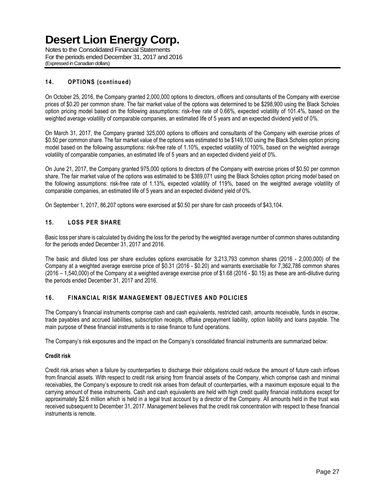Notes to the Consolidated Financial Statements For the periods ended December 31, 2017 and 2016 (Expressed in Canadian dollars)

## **14. OPTIONS (continued)**

On October 25, 2016, the Company granted 2,000,000 options to directors, officers and consultants of the Company with exercise prices of \$0.20 per common share. The fair market value of the options was determined to be \$298,900 using the Black Scholes option pricing model based on the following assumptions: risk-free rate of 0.66%, expected volatility of 101.4%, based on the weighted average volatility of comparable companies, an estimated life of 5 years and an expected dividend yield of 0%.

On March 31, 2017, the Company granted 325,000 options to officers and consultants of the Company with exercise prices of \$0.50 per common share. The fair market value of the options was estimated to be \$149,100 using the Black Scholes option pricing model based on the following assumptions: risk-free rate of 1.10%, expected volatility of 100%, based on the weighted average volatility of comparable companies, an estimated life of 5 years and an expected dividend yield of 0%.

On June 21, 2017, the Company granted 975,000 options to directors of the Company with exercise prices of \$0.50 per common share. The fair market value of the options was estimated to be \$369,071 using the Black Scholes option pricing model based on the following assumptions: risk-free rate of 1.13%, expected volatility of 119%, based on the weighted average volatility of comparable companies, an estimated life of 5 years and an expected dividend yield of 0%.

On September 1, 2017, 86,207 options were exercised at \$0.50 per share for cash proceeds of \$43,104.

### **15. LOSS PER SHARE**

Basic loss per share is calculated by dividing the loss for the period by the weighted average number of common shares outstanding for the periods ended December 31, 2017 and 2016.

The basic and diluted loss per share excludes options exercisable for 3,213,793 common shares (2016 - 2,000,000) of the Company at a weighted average exercise price of \$0.31 (2016 - \$0.20) and warrants exercisable for 7,362,786 common shares (2016 – 1,540,000) of the Company at a weighted average exercise price of \$1.68 (2016 - \$0.15) as these are anti-dilutive during the periods ended December 31, 2017 and 2016.

### **16. FINANCIAL RISK MANAGEMENT OBJECTIVES AND POLICIES**

The Company's financial instruments comprise cash and cash equivalents, restricted cash, amounts receivable, funds in escrow, trade payables and accrued liabilities, subscription receipts, offtake prepayment liability, option liability and loans payable. The main purpose of these financial instruments is to raise finance to fund operations.

The Company's risk exposures and the impact on the Company's consolidated financial instruments are summarized below:

### **Credit risk**

Credit risk arises when a failure by counterparties to discharge their obligations could reduce the amount of future cash inflows from financial assets. With respect to credit risk arising from financial assets of the Company, which comprise cash and minimal receivables, the Company's exposure to credit risk arises from default of counterparties, with a maximum exposure equal to the carrying amount of these instruments. Cash and cash equivalents are held with high credit quality financial institutions except for approximately \$2.6 million which is held in a legal trust account by a director of the Company. All amounts held in the trust was received subsequent to December 31, 2017. Management believes that the credit risk concentration with respect to these financial instruments is remote.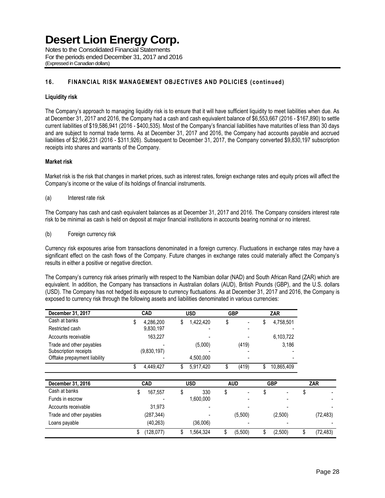Notes to the Consolidated Financial Statements For the periods ended December 31, 2017 and 2016 (Expressed in Canadian dollars)

### **16. FINANCIAL RISK MANAGEMENT OBJECTIVES AND POLICIES (continued)**

### **Liquidity risk**

The Company's approach to managing liquidity risk is to ensure that it will have sufficient liquidity to meet liabilities when due. As at December 31, 2017 and 2016, the Company had a cash and cash equivalent balance of \$6,553,667 (2016 - \$167,890) to settle current liabilities of \$19,586,941 (2016 - \$400,535). Most of the Company's financial liabilities have maturities of less than 30 days and are subject to normal trade terms. As at December 31, 2017 and 2016, the Company had accounts payable and accrued liabilities of \$2,966,231 (2016 - \$311,926). Subsequent to December 31, 2017, the Company converted \$9,830,197 subscription receipts into shares and warrants of the Company.

### **Market risk**

Market risk is the risk that changes in market prices, such as interest rates, foreign exchange rates and equity prices will affect the Company's income or the value of its holdings of financial instruments.

#### (a) Interest rate risk

The Company has cash and cash equivalent balances as at December 31, 2017 and 2016. The Company considers interest rate risk to be minimal as cash is held on deposit at major financial institutions in accounts bearing nominal or no interest.

(b) Foreign currency risk

Currency risk exposures arise from transactions denominated in a foreign currency. Fluctuations in exchange rates may have a significant effect on the cash flows of the Company. Future changes in exchange rates could materially affect the Company's results in either a positive or negative direction.

The Company's currency risk arises primarily with respect to the Namibian dollar (NAD) and South African Rand (ZAR) which are equivalent. In addition, the Company has transactions in Australian dollars (AUD), British Pounds (GBP), and the U.S. dollars (USD). The Company has not hedged its exposure to currency fluctuations. As at December 31, 2017 and 2016, the Company is exposed to currency risk through the following assets and liabilities denominated in various currencies:

| December 31, 2017            |    | <b>CAD</b>  | <b>USD</b>      | <b>GBP</b> |    | <b>ZAR</b> |  |            |
|------------------------------|----|-------------|-----------------|------------|----|------------|--|------------|
| Cash at banks                | S  | 4,286,200   | \$<br>1,422,420 | \$         | S  | 4,758,501  |  |            |
| Restricted cash              |    | 9,830,197   |                 |            |    |            |  |            |
| Accounts receivable          |    | 163,227     |                 |            |    | 6,103,722  |  |            |
| Trade and other payables     |    |             | (5,000)         | (419)      |    | 3,186      |  |            |
| Subscription receipts        |    | (9,830,197) |                 |            |    |            |  |            |
| Offtake prepayment liability |    |             | 4,500,000       |            |    |            |  |            |
|                              | \$ | 4,449,427   | \$<br>5,917,420 | (419)      | \$ | 10,865,409 |  |            |
| December 31, 2016            |    | <b>CAD</b>  | <b>USD</b>      | <b>AUD</b> |    | <b>GBP</b> |  | <b>ZAR</b> |
| Cash at banks                | \$ | 167,557     | \$<br>330       | \$         | \$ |            |  |            |
| Funds in escrow              |    |             | 1,600,000       |            |    |            |  |            |
| Accounts receivable          |    | 31,973      |                 |            |    |            |  |            |
| Trade and other payables     |    | (287, 344)  |                 | (5,500)    |    | (2,500)    |  | (72, 483)  |
|                              |    |             |                 |            |    |            |  |            |
| Loans payable                |    | (40, 263)   | (36,006)        |            |    |            |  |            |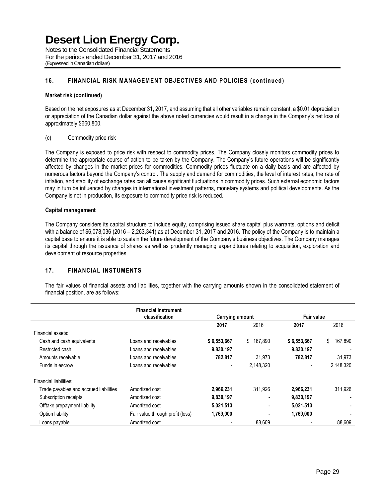Notes to the Consolidated Financial Statements For the periods ended December 31, 2017 and 2016 (Expressed in Canadian dollars)

### **16. FINANCIAL RISK MANAGEMENT OBJECTIVES AND POLICIES (continued)**

### **Market risk (continued)**

Based on the net exposures as at December 31, 2017, and assuming that all other variables remain constant, a \$0.01 depreciation or appreciation of the Canadian dollar against the above noted currencies would result in a change in the Company's net loss of approximately \$660,800.

### (c) Commodity price risk

The Company is exposed to price risk with respect to commodity prices. The Company closely monitors commodity prices to determine the appropriate course of action to be taken by the Company. The Company's future operations will be significantly affected by changes in the market prices for commodities. Commodity prices fluctuate on a daily basis and are affected by numerous factors beyond the Company's control. The supply and demand for commodities, the level of interest rates, the rate of inflation, and stability of exchange rates can all cause significant fluctuations in commodity prices. Such external economic factors may in turn be influenced by changes in international investment patterns, monetary systems and political developments. As the Company is not in production, its exposure to commodity price risk is reduced.

### **Capital management**

The Company considers its capital structure to include equity, comprising issued share capital plus warrants, options and deficit with a balance of \$6,078,036 (2016 – 2,263,341) as at December 31, 2017 and 2016. The policy of the Company is to maintain a capital base to ensure it is able to sustain the future development of the Company's business objectives. The Company manages its capital through the issuance of shares as well as prudently managing expenditures relating to acquisition, exploration and development of resource properties.

### **17. FINANCIAL INSTUMENTS**

The fair values of financial assets and liabilities, together with the carrying amounts shown in the consolidated statement of financial position, are as follows:

|                                        | <b>Financial instrument</b>      |                 |               |                |               |
|----------------------------------------|----------------------------------|-----------------|---------------|----------------|---------------|
|                                        | classification                   | Carrying amount |               | Fair value     |               |
|                                        |                                  | 2017            | 2016          | 2017           | 2016          |
| Financial assets:                      |                                  |                 |               |                |               |
| Cash and cash equivalents              | Loans and receivables            | \$6,553,667     | 167,890<br>\$ | \$6,553,667    | 167,890<br>\$ |
| Restricted cash                        | Loans and receivables            | 9,830,197       |               | 9,830,197      |               |
| Amounts receivable                     | Loans and receivables            | 782,817         | 31.973        | 782,817        | 31,973        |
| Funds in escrow                        | Loans and receivables            | ۰               | 2.148.320     | $\blacksquare$ | 2,148,320     |
| Financial liabilities:                 |                                  |                 |               |                |               |
| Trade payables and accrued liabilities | Amortized cost                   | 2,966,231       | 311.926       | 2,966,231      | 311,926       |
| Subscription receipts                  | Amortized cost                   | 9,830,197       | -             | 9,830,197      |               |
| Offtake prepayment liability           | Amortized cost                   | 5,021,513       | -             | 5,021,513      |               |
| Option liability                       | Fair value through profit (loss) | 1,769,000       |               | 1,769,000      |               |
| Loans payable                          | Amortized cost                   |                 | 88.609        |                | 88.609        |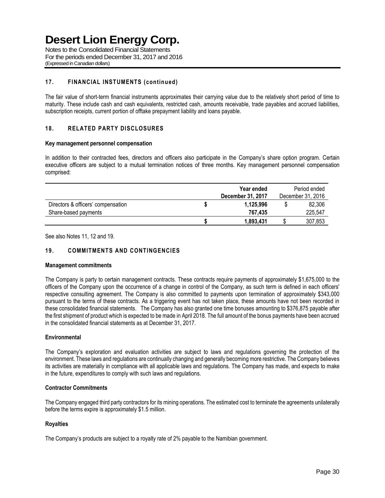Notes to the Consolidated Financial Statements For the periods ended December 31, 2017 and 2016 (Expressed in Canadian dollars)

### **17. FINANCIAL INSTUMENTS (continued)**

The fair value of short-term financial instruments approximates their carrying value due to the relatively short period of time to maturity. These include cash and cash equivalents, restricted cash, amounts receivable, trade payables and accrued liabilities, subscription receipts, current portion of offtake prepayment liability and loans payable.

### **18. RELATED PARTY DISCLOSURES**

### **Key management personnel compensation**

In addition to their contracted fees, directors and officers also participate in the Company's share option program. Certain executive officers are subject to a mutual termination notices of three months. Key management personnel compensation comprised:

|                                    |  | Period ended<br>December 31, 2016 |   |         |
|------------------------------------|--|-----------------------------------|---|---------|
| Directors & officers' compensation |  | 1.125.996                         | S | 82,306  |
| Share-based payments               |  | 767.435                           |   | 225,547 |
|                                    |  | 1,893,431                         |   | 307,853 |

See also Notes 11, 12 and 19.

### **19. COMMITMENTS AND CONTINGENCIES**

#### **Management commitments**

The Company is party to certain management contracts. These contracts require payments of approximately \$1,675,000 to the officers of the Company upon the occurrence of a change in control of the Company, as such term is defined in each officers' respective consulting agreement. The Company is also committed to payments upon termination of approximately \$343,000 pursuant to the terms of these contracts. As a triggering event has not taken place, these amounts have not been recorded in these consolidated financial statements. The Company has also granted one time bonuses amounting to \$376,875 payable after the first shipment of product which is expected to be made in April 2018. The full amount of the bonus payments have been accrued in the consolidated financial statements as at December 31, 2017.

### **Environmental**

The Company's exploration and evaluation activities are subject to laws and regulations governing the protection of the environment. These laws and regulations are continually changing and generally becoming more restrictive. The Company believes its activities are materially in compliance with all applicable laws and regulations. The Company has made, and expects to make in the future, expenditures to comply with such laws and regulations.

### **Contractor Commitments**

The Company engaged third party contractors for its mining operations. The estimated cost to terminate the agreements unilaterally before the terms expire is approximately \$1.5 million.

### **Royalties**

The Company's products are subject to a royalty rate of 2% payable to the Namibian government.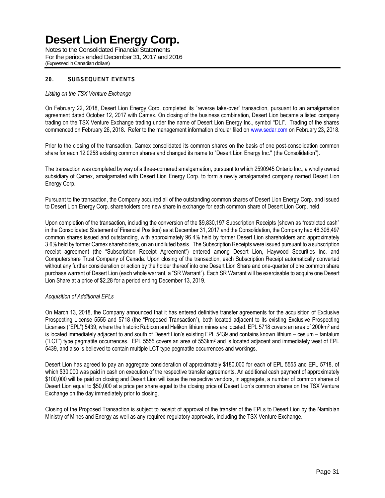Notes to the Consolidated Financial Statements For the periods ended December 31, 2017 and 2016 (Expressed in Canadian dollars)

### **20. SUBSEQUENT EVENTS**

### *Listing on the TSX Venture Exchange*

On February 22, 2018, Desert Lion Energy Corp. completed its "reverse take-over" transaction, pursuant to an amalgamation agreement dated October 12, 2017 with Camex. On closing of the business combination, Desert Lion became a listed company trading on the TSX Venture Exchange trading under the name of Desert Lion Energy Inc., symbol "DLI". Trading of the shares commenced on February 26, 2018. Refer to the management information circular filed on [www.sedar.com](http://www.sedar.com/) on February 23, 2018.

Prior to the closing of the transaction, Camex consolidated its common shares on the basis of one post-consolidation common share for each 12.0258 existing common shares and changed its name to "Desert Lion Energy Inc." (the Consolidation").

The transaction was completed by way of a three-cornered amalgamation, pursuant to which 2590945 Ontario Inc., a wholly owned subsidiary of Camex, amalgamated with Desert Lion Energy Corp. to form a newly amalgamated company named Desert Lion Energy Corp.

Pursuant to the transaction, the Company acquired all of the outstanding common shares of Desert Lion Energy Corp. and issued to Desert Lion Energy Corp. shareholders one new share in exchange for each common share of Desert Lion Corp. held.

Upon completion of the transaction, including the conversion of the \$9,830,197 Subscription Receipts (shown as "restricted cash" in the Consolidated Statement of Financial Position) as at December 31, 2017 and the Consolidation, the Company had 46,306,497 common shares issued and outstanding, with approximately 96.4% held by former Desert Lion shareholders and approximately 3.6% held by former Camex shareholders, on an undiluted basis. The Subscription Receipts were issued pursuant to a subscription receipt agreement (the "Subscription Receipt Agreement") entered among Desert Lion, Haywood Securities Inc. and Computershare Trust Company of Canada. Upon closing of the transaction, each Subscription Receipt automatically converted without any further consideration or action by the holder thereof into one Desert Lion Share and one-quarter of one common share purchase warrant of Desert Lion (each whole warrant, a "SR Warrant"). Each SR Warrant will be exercisable to acquire one Desert Lion Share at a price of \$2.28 for a period ending December 13, 2019.

### *Acquisition of Additional EPLs*

On March 13, 2018, the Company announced that it has entered definitive transfer agreements for the acquisition of Exclusive Prospecting License 5555 and 5718 (the "Proposed Transaction"), both located adjacent to its existing Exclusive Prospecting Licenses ("EPL") 5439, where the historic Rubicon and Helikon lithium mines are located. EPL 5718 covers an area of 200km<sup>2</sup> and is located immediately adjacent to and south of Desert Lion's existing EPL 5439 and contains known lithium – cesium – tantalum  $("LCT")$  type pegmatite occurrences. EPL 5555 covers an area of 553 $km^2$  and is located adjacent and immediately west of EPL 5439, and also is believed to contain multiple LCT type pegmatite occurrences and workings.

Desert Lion has agreed to pay an aggregate consideration of approximately \$180,000 for each of EPL 5555 and EPL 5718, of which \$30,000 was paid in cash on execution of the respective transfer agreements. An additional cash payment of approximately \$100,000 will be paid on closing and Desert Lion will issue the respective vendors, in aggregate, a number of common shares of Desert Lion equal to \$50,000 at a price per share equal to the closing price of Desert Lion's common shares on the TSX Venture Exchange on the day immediately prior to closing.

Closing of the Proposed Transaction is subject to receipt of approval of the transfer of the EPLs to Desert Lion by the Namibian Ministry of Mines and Energy as well as any required regulatory approvals, including the TSX Venture Exchange.